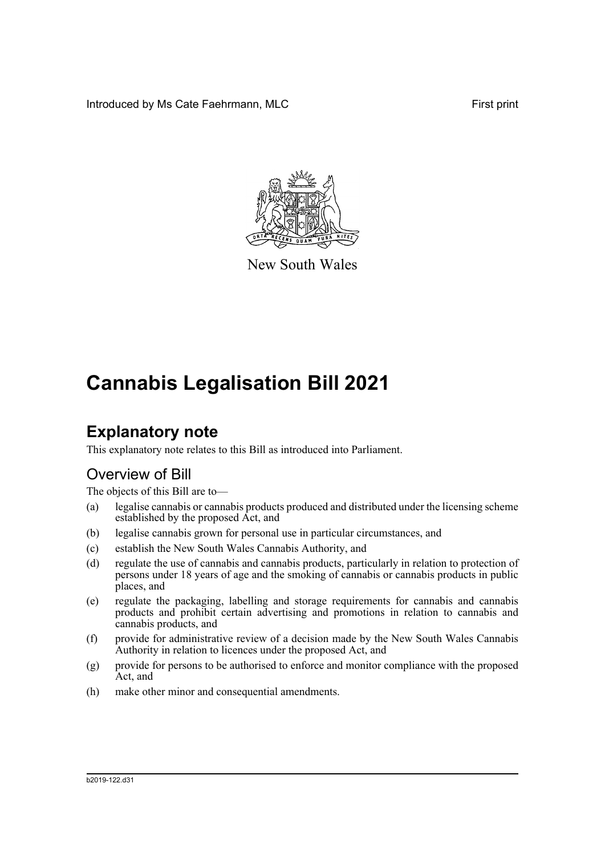Introduced by Ms Cate Faehrmann, MLC **First print** First print



New South Wales

# **Cannabis Legalisation Bill 2021**

# **Explanatory note**

This explanatory note relates to this Bill as introduced into Parliament.

### Overview of Bill

The objects of this Bill are to—

- (a) legalise cannabis or cannabis products produced and distributed under the licensing scheme established by the proposed Act, and
- (b) legalise cannabis grown for personal use in particular circumstances, and
- (c) establish the New South Wales Cannabis Authority, and
- (d) regulate the use of cannabis and cannabis products, particularly in relation to protection of persons under 18 years of age and the smoking of cannabis or cannabis products in public places, and
- (e) regulate the packaging, labelling and storage requirements for cannabis and cannabis products and prohibit certain advertising and promotions in relation to cannabis and cannabis products, and
- (f) provide for administrative review of a decision made by the New South Wales Cannabis Authority in relation to licences under the proposed Act, and
- (g) provide for persons to be authorised to enforce and monitor compliance with the proposed Act, and
- (h) make other minor and consequential amendments.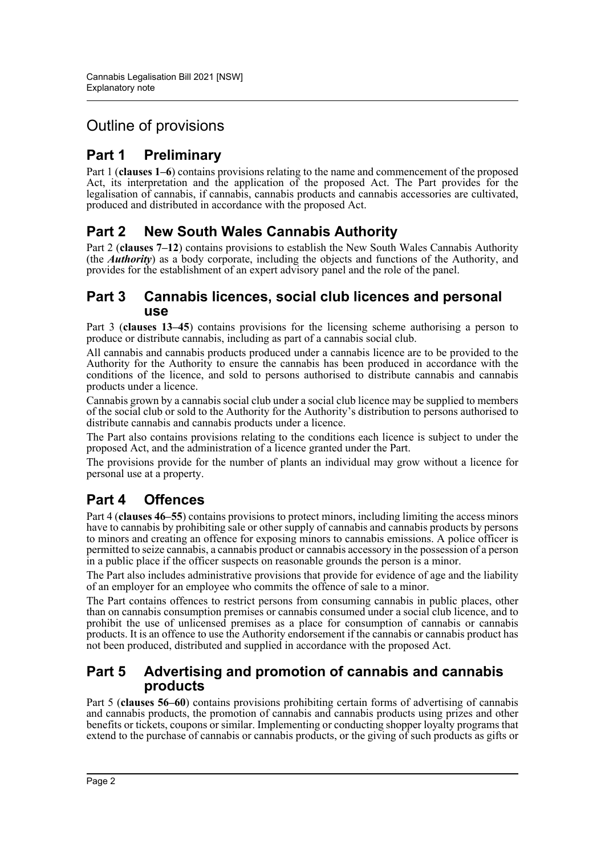## Outline of provisions

## **Part 1 Preliminary**

Part 1 (**clauses 1–6**) contains provisions relating to the name and commencement of the proposed Act, its interpretation and the application of the proposed Act. The Part provides for the legalisation of cannabis, if cannabis, cannabis products and cannabis accessories are cultivated, produced and distributed in accordance with the proposed Act.

### **Part 2 New South Wales Cannabis Authority**

Part 2 (**clauses 7–12**) contains provisions to establish the New South Wales Cannabis Authority (the *Authority*) as a body corporate, including the objects and functions of the Authority, and provides for the establishment of an expert advisory panel and the role of the panel.

### **Part 3 Cannabis licences, social club licences and personal use**

Part 3 (**clauses 13–45**) contains provisions for the licensing scheme authorising a person to produce or distribute cannabis, including as part of a cannabis social club.

All cannabis and cannabis products produced under a cannabis licence are to be provided to the Authority for the Authority to ensure the cannabis has been produced in accordance with the conditions of the licence, and sold to persons authorised to distribute cannabis and cannabis products under a licence.

Cannabis grown by a cannabis social club under a social club licence may be supplied to members of the social club or sold to the Authority for the Authority's distribution to persons authorised to distribute cannabis and cannabis products under a licence.

The Part also contains provisions relating to the conditions each licence is subject to under the proposed Act, and the administration of a licence granted under the Part.

The provisions provide for the number of plants an individual may grow without a licence for personal use at a property.

### **Part 4 Offences**

Part 4 (**clauses 46–55**) contains provisions to protect minors, including limiting the access minors have to cannabis by prohibiting sale or other supply of cannabis and cannabis products by persons to minors and creating an offence for exposing minors to cannabis emissions. A police officer is permitted to seize cannabis, a cannabis product or cannabis accessory in the possession of a person in a public place if the officer suspects on reasonable grounds the person is a minor.

The Part also includes administrative provisions that provide for evidence of age and the liability of an employer for an employee who commits the offence of sale to a minor.

The Part contains offences to restrict persons from consuming cannabis in public places, other than on cannabis consumption premises or cannabis consumed under a social club licence, and to prohibit the use of unlicensed premises as a place for consumption of cannabis or cannabis products. It is an offence to use the Authority endorsement if the cannabis or cannabis product has not been produced, distributed and supplied in accordance with the proposed Act.

### **Part 5 Advertising and promotion of cannabis and cannabis products**

Part 5 (**clauses 56–60**) contains provisions prohibiting certain forms of advertising of cannabis and cannabis products, the promotion of cannabis and cannabis products using prizes and other benefits or tickets, coupons or similar. Implementing or conducting shopper loyalty programs that extend to the purchase of cannabis or cannabis products, or the giving of such products as gifts or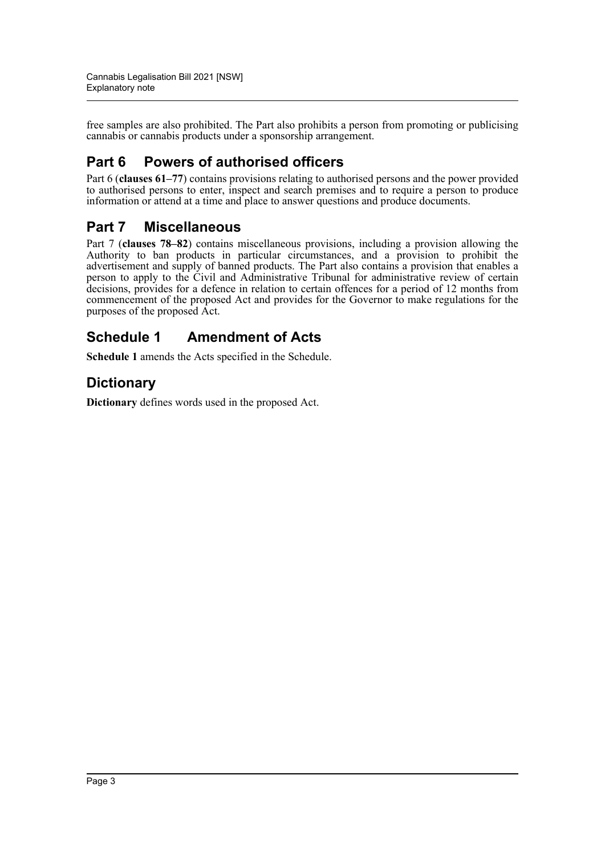free samples are also prohibited. The Part also prohibits a person from promoting or publicising cannabis or cannabis products under a sponsorship arrangement.

### **Part 6 Powers of authorised officers**

Part 6 (**clauses 61–77**) contains provisions relating to authorised persons and the power provided to authorised persons to enter, inspect and search premises and to require a person to produce information or attend at a time and place to answer questions and produce documents.

### **Part 7 Miscellaneous**

Part 7 (**clauses 78–82**) contains miscellaneous provisions, including a provision allowing the Authority to ban products in particular circumstances, and a provision to prohibit the advertisement and supply of banned products. The Part also contains a provision that enables a person to apply to the Civil and Administrative Tribunal for administrative review of certain decisions, provides for a defence in relation to certain offences for a period of 12 months from commencement of the proposed Act and provides for the Governor to make regulations for the purposes of the proposed Act.

### **Schedule 1 Amendment of Acts**

**Schedule 1** amends the Acts specified in the Schedule.

### **Dictionary**

**Dictionary** defines words used in the proposed Act.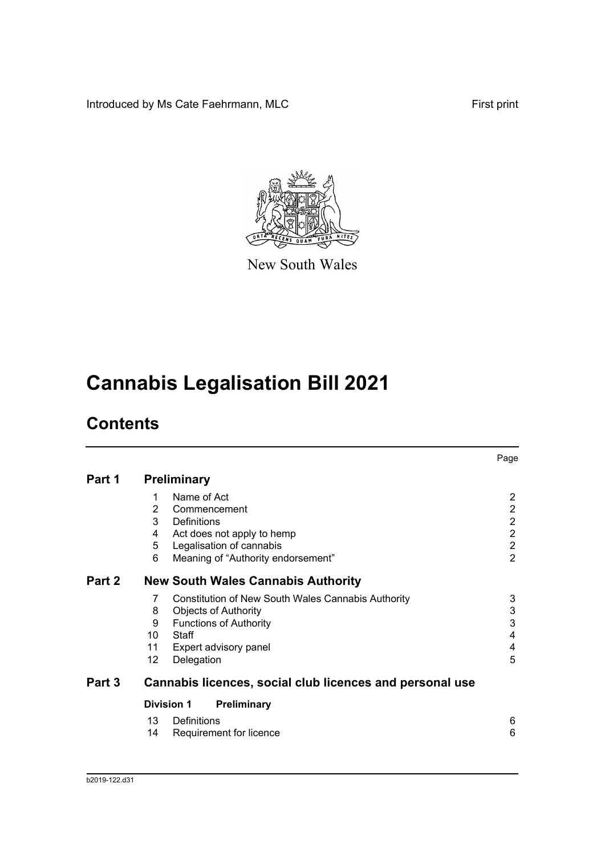Introduced by Ms Cate Faehrmann, MLC First print



New South Wales

# **Cannabis Legalisation Bill 2021**

# **Contents**

|        |     |                                                          | Page           |
|--------|-----|----------------------------------------------------------|----------------|
| Part 1 |     | <b>Preliminary</b>                                       |                |
|        | 1   | Name of Act                                              | 2              |
|        | 2   | Commencement                                             | $\overline{2}$ |
|        | 3   | Definitions                                              | $\overline{c}$ |
|        | 4   | Act does not apply to hemp                               | $\overline{2}$ |
|        | 5   | Legalisation of cannabis                                 | $\overline{2}$ |
|        | 6   | Meaning of "Authority endorsement"                       | $\overline{2}$ |
| Part 2 |     | <b>New South Wales Cannabis Authority</b>                |                |
|        | 7   | Constitution of New South Wales Cannabis Authority       | 3              |
|        | 8   | <b>Objects of Authority</b>                              | 3              |
|        | 9   | <b>Functions of Authority</b>                            | 3              |
|        | 10  | Staff                                                    | $\overline{4}$ |
|        | 11  | Expert advisory panel                                    | 4              |
|        | 12. | Delegation                                               | 5              |
| Part 3 |     | Cannabis licences, social club licences and personal use |                |
|        |     | <b>Division 1</b><br>Preliminary                         |                |
|        | 13  | Definitions                                              | 6              |
|        | 14  | Requirement for licence                                  | 6              |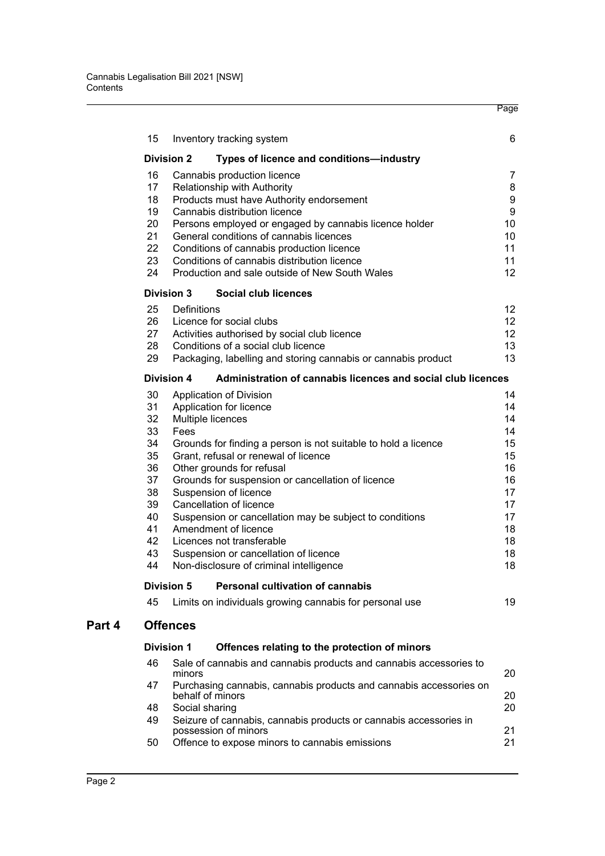|        | 15       | Inventory tracking system                                                                              | 6                |
|--------|----------|--------------------------------------------------------------------------------------------------------|------------------|
|        |          | <b>Division 2</b><br>Types of licence and conditions-industry                                          |                  |
|        | 16       | Cannabis production licence                                                                            | $\overline{7}$   |
|        | 17       | Relationship with Authority                                                                            | 8                |
|        | 18       | Products must have Authority endorsement                                                               | 9                |
|        | 19       | Cannabis distribution licence                                                                          | $\boldsymbol{9}$ |
|        | 20       | Persons employed or engaged by cannabis licence holder                                                 | 10               |
|        | 21       | General conditions of cannabis licences                                                                | 10               |
|        | 22<br>23 | Conditions of cannabis production licence<br>Conditions of cannabis distribution licence               | 11<br>11         |
|        | 24       | Production and sale outside of New South Wales                                                         | 12               |
|        |          | <b>Division 3</b><br>Social club licences                                                              |                  |
|        | 25       | Definitions                                                                                            | 12               |
|        | 26       | Licence for social clubs                                                                               | 12               |
|        | 27       | Activities authorised by social club licence                                                           | 12               |
|        | 28       | Conditions of a social club licence                                                                    | 13               |
|        | 29       | Packaging, labelling and storing cannabis or cannabis product                                          | 13               |
|        |          | Administration of cannabis licences and social club licences<br><b>Division 4</b>                      |                  |
|        | 30       | Application of Division                                                                                | 14               |
|        | 31       | Application for licence                                                                                | 14               |
|        | 32       | Multiple licences                                                                                      | 14               |
|        | 33       | Fees                                                                                                   | 14               |
|        | 34<br>35 | Grounds for finding a person is not suitable to hold a licence<br>Grant, refusal or renewal of licence | 15<br>15         |
|        | 36       | Other grounds for refusal                                                                              | 16               |
|        | 37       | Grounds for suspension or cancellation of licence                                                      | 16               |
|        | 38       | Suspension of licence                                                                                  | 17               |
|        | 39       | Cancellation of licence                                                                                | 17               |
|        | 40       | Suspension or cancellation may be subject to conditions                                                | 17               |
|        | 41       | Amendment of licence                                                                                   | 18               |
|        | 42       | Licences not transferable                                                                              | 18               |
|        | 43       | Suspension or cancellation of licence                                                                  | 18               |
|        | 44       | Non-disclosure of criminal intelligence                                                                | 18               |
|        |          | <b>Personal cultivation of cannabis</b><br><b>Division 5</b>                                           |                  |
|        | 45       | Limits on individuals growing cannabis for personal use                                                | 19               |
| Part 4 |          | <b>Offences</b>                                                                                        |                  |
|        |          | <b>Division 1</b><br>Offences relating to the protection of minors                                     |                  |
|        | 46       | Sale of cannabis and cannabis products and cannabis accessories to<br>minors                           | 20               |
|        | 47       | Purchasing cannabis, cannabis products and cannabis accessories on<br>behalf of minors                 | 20               |
|        | 48       | Social sharing                                                                                         | 20               |
|        | 49       | Seizure of cannabis, cannabis products or cannabis accessories in                                      |                  |

Page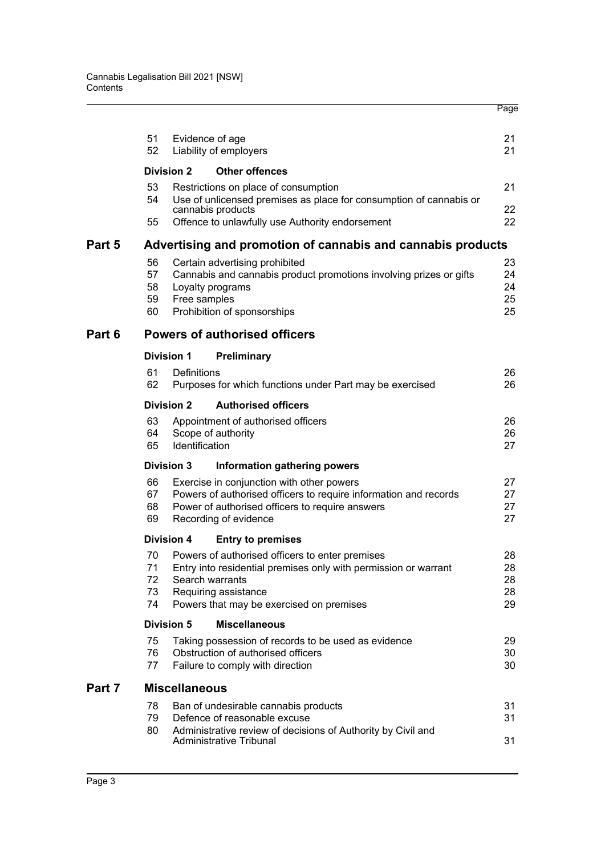|        |          |                      |                                                                                                            | Page     |
|--------|----------|----------------------|------------------------------------------------------------------------------------------------------------|----------|
|        | 51<br>52 |                      | Evidence of age<br>Liability of employers                                                                  | 21<br>21 |
|        |          | <b>Division 2</b>    | <b>Other offences</b>                                                                                      |          |
|        | 53<br>54 |                      | Restrictions on place of consumption<br>Use of unlicensed premises as place for consumption of cannabis or | 21       |
|        | 55       |                      | cannabis products<br>Offence to unlawfully use Authority endorsement                                       | 22<br>22 |
| Part 5 |          |                      | Advertising and promotion of cannabis and cannabis products                                                |          |
|        | 56       |                      | Certain advertising prohibited                                                                             | 23       |
|        | 57       |                      | Cannabis and cannabis product promotions involving prizes or gifts                                         | 24       |
|        | 58       |                      | Loyalty programs                                                                                           | 24       |
|        | 59<br>60 | Free samples         | Prohibition of sponsorships                                                                                | 25<br>25 |
|        |          |                      |                                                                                                            |          |
| Part 6 |          |                      | <b>Powers of authorised officers</b>                                                                       |          |
|        |          | <b>Division 1</b>    | <b>Preliminary</b>                                                                                         |          |
|        | 61<br>62 | Definitions          | Purposes for which functions under Part may be exercised                                                   | 26<br>26 |
|        |          | <b>Division 2</b>    | <b>Authorised officers</b>                                                                                 |          |
|        | 63       |                      | Appointment of authorised officers                                                                         | 26       |
|        | 64<br>65 | Identification       | Scope of authority                                                                                         | 26<br>27 |
|        |          | <b>Division 3</b>    | Information gathering powers                                                                               |          |
|        | 66       |                      | Exercise in conjunction with other powers                                                                  | 27       |
|        | 67       |                      | Powers of authorised officers to require information and records                                           | 27       |
|        | 68<br>69 |                      | Power of authorised officers to require answers<br>Recording of evidence                                   | 27<br>27 |
|        |          | <b>Division 4</b>    | <b>Entry to premises</b>                                                                                   |          |
|        | 70 —     |                      | Powers of authorised officers to enter premises                                                            | 28       |
|        | 71       |                      | Entry into residential premises only with permission or warrant                                            | 28       |
|        | 72       |                      | Search warrants                                                                                            | 28       |
|        | 73       |                      | Requiring assistance                                                                                       | 28       |
|        | 74       |                      | Powers that may be exercised on premises                                                                   | 29       |
|        |          | <b>Division 5</b>    | <b>Miscellaneous</b>                                                                                       |          |
|        | 75<br>76 |                      | Taking possession of records to be used as evidence<br>Obstruction of authorised officers                  | 29<br>30 |
|        | 77       |                      | Failure to comply with direction                                                                           | 30       |
| Part 7 |          | <b>Miscellaneous</b> |                                                                                                            |          |
|        | 78       |                      | Ban of undesirable cannabis products                                                                       | 31       |
|        | 79       |                      | Defence of reasonable excuse                                                                               | 31       |
|        | 80       |                      | Administrative review of decisions of Authority by Civil and<br>Administrative Tribunal                    | 31       |
|        |          |                      |                                                                                                            |          |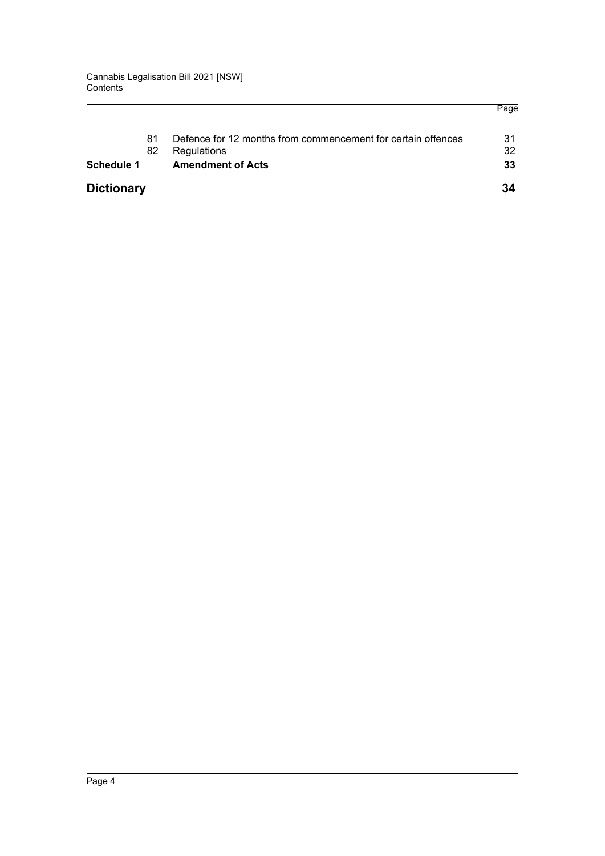Page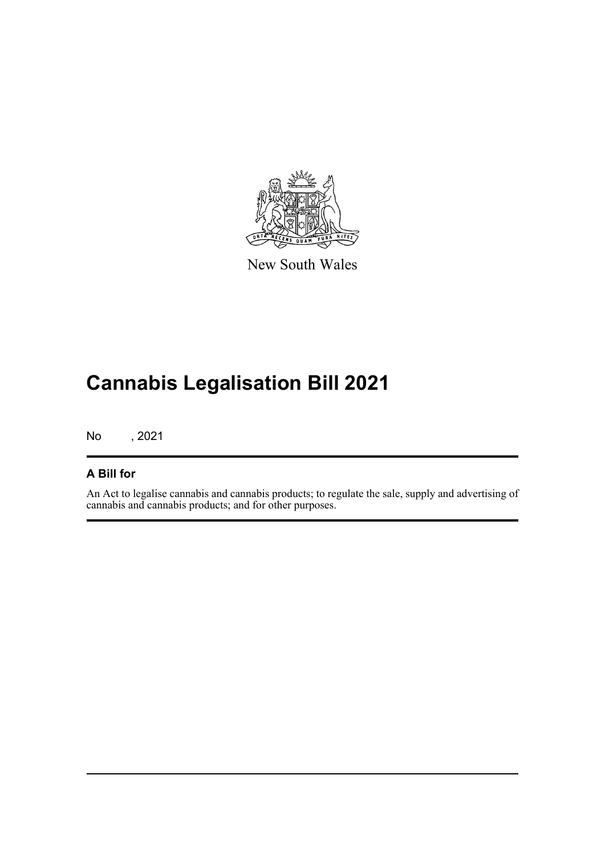

New South Wales

# **Cannabis Legalisation Bill 2021**

No , 2021

### **A Bill for**

An Act to legalise cannabis and cannabis products; to regulate the sale, supply and advertising of cannabis and cannabis products; and for other purposes.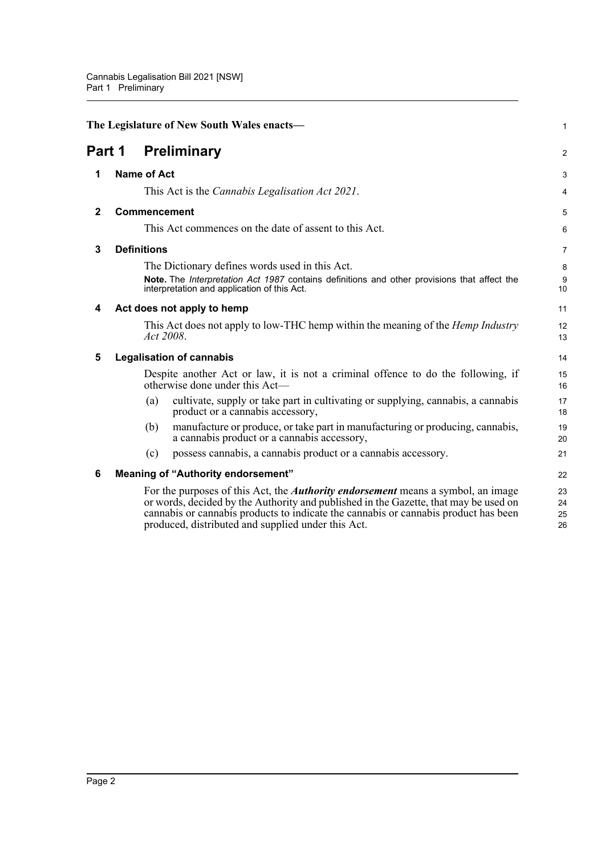<span id="page-8-6"></span><span id="page-8-5"></span><span id="page-8-4"></span><span id="page-8-3"></span><span id="page-8-2"></span><span id="page-8-1"></span><span id="page-8-0"></span>

|              | The Legislature of New South Wales enacts-                                                                                                                                                                                                                                                                                   | 1                    |  |
|--------------|------------------------------------------------------------------------------------------------------------------------------------------------------------------------------------------------------------------------------------------------------------------------------------------------------------------------------|----------------------|--|
| Part 1       | <b>Preliminary</b>                                                                                                                                                                                                                                                                                                           |                      |  |
| 1            | <b>Name of Act</b>                                                                                                                                                                                                                                                                                                           |                      |  |
|              | This Act is the <i>Cannabis Legalisation Act 2021</i> .                                                                                                                                                                                                                                                                      | 4                    |  |
| $\mathbf{2}$ | Commencement                                                                                                                                                                                                                                                                                                                 | 5                    |  |
|              | This Act commences on the date of assent to this Act.                                                                                                                                                                                                                                                                        | 6                    |  |
| 3            | <b>Definitions</b>                                                                                                                                                                                                                                                                                                           | 7                    |  |
|              | The Dictionary defines words used in this Act.                                                                                                                                                                                                                                                                               | 8                    |  |
|              | Note. The Interpretation Act 1987 contains definitions and other provisions that affect the<br>interpretation and application of this Act.                                                                                                                                                                                   | 9<br>10              |  |
| 4            | Act does not apply to hemp                                                                                                                                                                                                                                                                                                   | 11                   |  |
|              | This Act does not apply to low-THC hemp within the meaning of the <i>Hemp Industry</i><br>Act 2008.                                                                                                                                                                                                                          | 12<br>13             |  |
| 5            | <b>Legalisation of cannabis</b>                                                                                                                                                                                                                                                                                              | 14                   |  |
|              | Despite another Act or law, it is not a criminal offence to do the following, if<br>otherwise done under this Act—                                                                                                                                                                                                           | 15<br>16             |  |
|              | cultivate, supply or take part in cultivating or supplying, cannabis, a cannabis<br>(a)<br>product or a cannabis accessory,                                                                                                                                                                                                  | 17<br>18             |  |
|              | manufacture or produce, or take part in manufacturing or producing, cannabis,<br>(b)<br>a cannabis product or a cannabis accessory,                                                                                                                                                                                          | 19<br>20             |  |
|              | possess cannabis, a cannabis product or a cannabis accessory.<br>(c)                                                                                                                                                                                                                                                         | 21                   |  |
| 6            | <b>Meaning of "Authority endorsement"</b>                                                                                                                                                                                                                                                                                    | 22                   |  |
|              | For the purposes of this Act, the <i>Authority endorsement</i> means a symbol, an image<br>or words, decided by the Authority and published in the Gazette, that may be used on<br>cannabis or cannabis products to indicate the cannabis or cannabis product has been<br>produced, distributed and supplied under this Act. | 23<br>24<br>25<br>26 |  |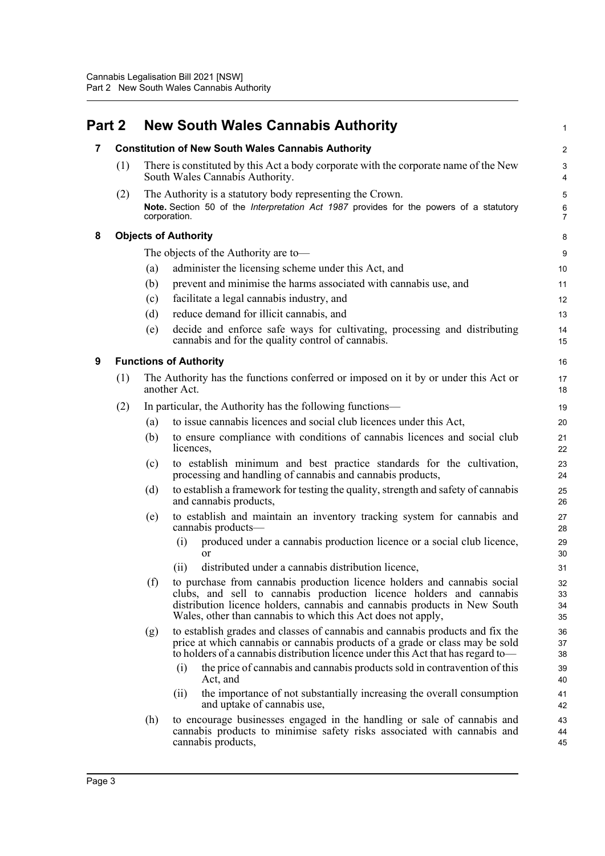<span id="page-9-3"></span><span id="page-9-2"></span><span id="page-9-1"></span><span id="page-9-0"></span>

| Part 2         |     |              | <b>New South Wales Cannabis Authority</b>                                                                                                                                                                                                                                                    | 1                       |
|----------------|-----|--------------|----------------------------------------------------------------------------------------------------------------------------------------------------------------------------------------------------------------------------------------------------------------------------------------------|-------------------------|
| $\overline{7}$ |     |              | <b>Constitution of New South Wales Cannabis Authority</b>                                                                                                                                                                                                                                    | $\overline{\mathbf{c}}$ |
|                | (1) |              | There is constituted by this Act a body corporate with the corporate name of the New<br>South Wales Cannabis Authority.                                                                                                                                                                      | 3<br>4                  |
|                | (2) | corporation. | The Authority is a statutory body representing the Crown.<br>Note. Section 50 of the Interpretation Act 1987 provides for the powers of a statutory                                                                                                                                          | 5<br>6<br>7             |
| 8              |     |              | <b>Objects of Authority</b>                                                                                                                                                                                                                                                                  | 8                       |
|                |     |              | The objects of the Authority are to-                                                                                                                                                                                                                                                         | 9                       |
|                |     | (a)          | administer the licensing scheme under this Act, and                                                                                                                                                                                                                                          | 10                      |
|                |     | (b)          | prevent and minimise the harms associated with cannabis use, and                                                                                                                                                                                                                             | 11                      |
|                |     | (c)          | facilitate a legal cannabis industry, and                                                                                                                                                                                                                                                    | 12                      |
|                |     | (d)          | reduce demand for illicit cannabis, and                                                                                                                                                                                                                                                      | 13                      |
|                |     | (e)          | decide and enforce safe ways for cultivating, processing and distributing<br>cannabis and for the quality control of cannabis.                                                                                                                                                               | 14<br>15                |
| 9              |     |              | <b>Functions of Authority</b>                                                                                                                                                                                                                                                                | 16                      |
|                | (1) |              | The Authority has the functions conferred or imposed on it by or under this Act or<br>another Act.                                                                                                                                                                                           | 17<br>18                |
|                | (2) |              | In particular, the Authority has the following functions—                                                                                                                                                                                                                                    | 19                      |
|                |     | (a)          | to issue cannabis licences and social club licences under this Act,                                                                                                                                                                                                                          | 20                      |
|                |     | (b)          | to ensure compliance with conditions of cannabis licences and social club<br>licences,                                                                                                                                                                                                       | 21<br>22                |
|                |     | (c)          | to establish minimum and best practice standards for the cultivation,<br>processing and handling of cannabis and cannabis products,                                                                                                                                                          | 23<br>24                |
|                |     | (d)          | to establish a framework for testing the quality, strength and safety of cannabis<br>and cannabis products,                                                                                                                                                                                  | 25<br>26                |
|                |     | (e)          | to establish and maintain an inventory tracking system for cannabis and<br>cannabis products-                                                                                                                                                                                                | 27<br>28                |
|                |     |              | produced under a cannabis production licence or a social club licence,<br>(i)<br>or                                                                                                                                                                                                          | 29<br>30                |
|                |     |              | distributed under a cannabis distribution licence,<br>(i)                                                                                                                                                                                                                                    | 31                      |
|                |     | (f)          | to purchase from cannabis production licence holders and cannabis social<br>clubs, and sell to cannabis production licence holders and cannabis<br>distribution licence holders, cannabis and cannabis products in New South<br>Wales, other than cannabis to which this Act does not apply, | 32<br>33<br>34<br>35    |
|                |     | (g)          | to establish grades and classes of cannabis and cannabis products and fix the<br>price at which cannabis or cannabis products of a grade or class may be sold<br>to holders of a cannabis distribution licence under this Act that has regard to-                                            | 36<br>37<br>38          |
|                |     |              | the price of cannabis and cannabis products sold in contravention of this<br>(i)<br>Act, and                                                                                                                                                                                                 | 39<br>40                |
|                |     |              | the importance of not substantially increasing the overall consumption<br>(11)<br>and uptake of cannabis use,                                                                                                                                                                                | 41<br>42                |
|                |     | (h)          | to encourage businesses engaged in the handling or sale of cannabis and<br>cannabis products to minimise safety risks associated with cannabis and<br>cannabis products,                                                                                                                     | 43<br>44<br>45          |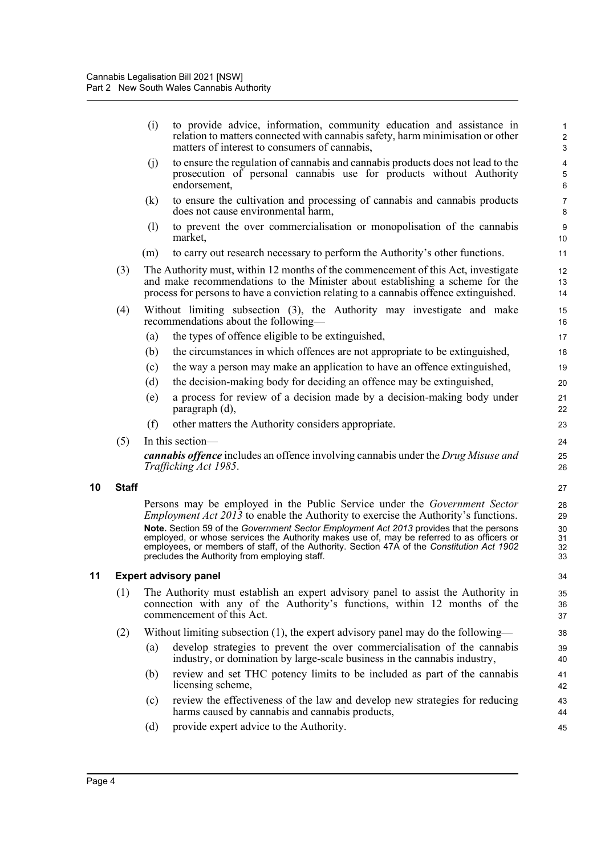|    |              | (i) | to provide advice, information, community education and assistance in<br>relation to matters connected with cannabis safety, harm minimisation or other<br>matters of interest to consumers of cannabis,                                                                                                                                                                                                                                                                                                             | $\mathbf{1}$<br>$\sqrt{2}$<br>3  |
|----|--------------|-----|----------------------------------------------------------------------------------------------------------------------------------------------------------------------------------------------------------------------------------------------------------------------------------------------------------------------------------------------------------------------------------------------------------------------------------------------------------------------------------------------------------------------|----------------------------------|
|    |              | (i) | to ensure the regulation of cannabis and cannabis products does not lead to the<br>prosecution of personal cannabis use for products without Authority<br>endorsement,                                                                                                                                                                                                                                                                                                                                               | 4<br>5<br>6                      |
|    |              | (k) | to ensure the cultivation and processing of cannabis and cannabis products<br>does not cause environmental harm,                                                                                                                                                                                                                                                                                                                                                                                                     | $\overline{7}$<br>8              |
|    |              | (1) | to prevent the over commercialisation or monopolisation of the cannabis<br>market,                                                                                                                                                                                                                                                                                                                                                                                                                                   | 9<br>10                          |
|    |              | (m) | to carry out research necessary to perform the Authority's other functions.                                                                                                                                                                                                                                                                                                                                                                                                                                          | 11                               |
|    | (3)          |     | The Authority must, within 12 months of the commencement of this Act, investigate<br>and make recommendations to the Minister about establishing a scheme for the<br>process for persons to have a conviction relating to a cannabis offence extinguished.                                                                                                                                                                                                                                                           | 12<br>13<br>14                   |
|    | (4)          |     | Without limiting subsection (3), the Authority may investigate and make<br>recommendations about the following—                                                                                                                                                                                                                                                                                                                                                                                                      | 15<br>16                         |
|    |              | (a) | the types of offence eligible to be extinguished,                                                                                                                                                                                                                                                                                                                                                                                                                                                                    | 17                               |
|    |              | (b) | the circumstances in which offences are not appropriate to be extinguished,                                                                                                                                                                                                                                                                                                                                                                                                                                          | 18                               |
|    |              | (c) | the way a person may make an application to have an offence extinguished,                                                                                                                                                                                                                                                                                                                                                                                                                                            | 19                               |
|    |              | (d) | the decision-making body for deciding an offence may be extinguished,                                                                                                                                                                                                                                                                                                                                                                                                                                                | 20                               |
|    |              | (e) | a process for review of a decision made by a decision-making body under<br>paragraph (d),                                                                                                                                                                                                                                                                                                                                                                                                                            | 21<br>22                         |
|    |              | (f) | other matters the Authority considers appropriate.                                                                                                                                                                                                                                                                                                                                                                                                                                                                   | 23                               |
|    | (5)          |     | In this section-                                                                                                                                                                                                                                                                                                                                                                                                                                                                                                     | 24                               |
|    |              |     | <b>cannabis offence</b> includes an offence involving cannabis under the Drug Misuse and<br>Trafficking Act 1985.                                                                                                                                                                                                                                                                                                                                                                                                    | 25<br>26                         |
| 10 | <b>Staff</b> |     |                                                                                                                                                                                                                                                                                                                                                                                                                                                                                                                      | 27                               |
|    |              |     | Persons may be employed in the Public Service under the <i>Government Sector</i><br><i>Employment Act 2013</i> to enable the Authority to exercise the Authority's functions.<br>Note. Section 59 of the Government Sector Employment Act 2013 provides that the persons<br>employed, or whose services the Authority makes use of, may be referred to as officers or<br>employees, or members of staff, of the Authority. Section 47A of the Constitution Act 1902<br>precludes the Authority from employing staff. | 28<br>29<br>30<br>31<br>32<br>33 |
| 11 |              |     | <b>Expert advisory panel</b>                                                                                                                                                                                                                                                                                                                                                                                                                                                                                         | 34                               |
|    | (1)          |     | The Authority must establish an expert advisory panel to assist the Authority in<br>connection with any of the Authority's functions, within 12 months of the<br>commencement of this Act.                                                                                                                                                                                                                                                                                                                           | 35<br>36<br>37                   |
|    | (2)          |     | Without limiting subsection (1), the expert advisory panel may do the following—                                                                                                                                                                                                                                                                                                                                                                                                                                     | 38                               |
|    |              | (a) | develop strategies to prevent the over commercialisation of the cannabis<br>industry, or domination by large-scale business in the cannabis industry,                                                                                                                                                                                                                                                                                                                                                                | 39<br>40                         |
|    |              | (b) | review and set THC potency limits to be included as part of the cannabis<br>licensing scheme,                                                                                                                                                                                                                                                                                                                                                                                                                        | 41<br>42                         |
|    |              | (c) | review the effectiveness of the law and develop new strategies for reducing<br>harms caused by cannabis and cannabis products,                                                                                                                                                                                                                                                                                                                                                                                       | 43<br>44                         |
|    |              | (d) | provide expert advice to the Authority.                                                                                                                                                                                                                                                                                                                                                                                                                                                                              | 45                               |
|    |              |     |                                                                                                                                                                                                                                                                                                                                                                                                                                                                                                                      |                                  |

<span id="page-10-1"></span><span id="page-10-0"></span>**10**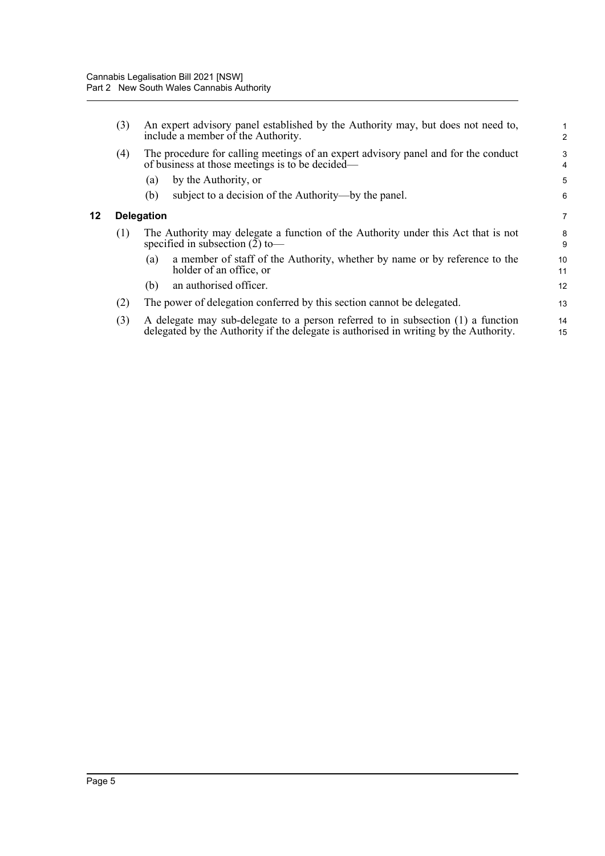<span id="page-11-0"></span>**12 Delegation**

| (3) | An expert advisory panel established by the Authority may, but does not need to,<br>include a member of the Authority.                                                    | 1<br>$\overline{2}$ |  |  |
|-----|---------------------------------------------------------------------------------------------------------------------------------------------------------------------------|---------------------|--|--|
| (4) | The procedure for calling meetings of an expert advisory panel and for the conduct<br>of business at those meetings is to be decided—                                     |                     |  |  |
|     | by the Authority, or<br>(a)                                                                                                                                               | 5                   |  |  |
|     | subject to a decision of the Authority—by the panel.<br>(b)                                                                                                               | 6                   |  |  |
|     | <b>Delegation</b>                                                                                                                                                         | $\overline{7}$      |  |  |
| (1) | The Authority may delegate a function of the Authority under this Act that is not<br>specified in subsection $(2)$ to-                                                    | 8<br>9              |  |  |
|     | a member of staff of the Authority, whether by name or by reference to the<br>(a)<br>holder of an office, or                                                              | 10<br>11            |  |  |
|     | an authorised officer.<br>(b)                                                                                                                                             | 12                  |  |  |
| (2) | The power of delegation conferred by this section cannot be delegated.                                                                                                    | 13                  |  |  |
| (3) | A delegate may sub-delegate to a person referred to in subsection (1) a function<br>delegated by the Authority if the delegate is authorised in writing by the Authority. | 14<br>15            |  |  |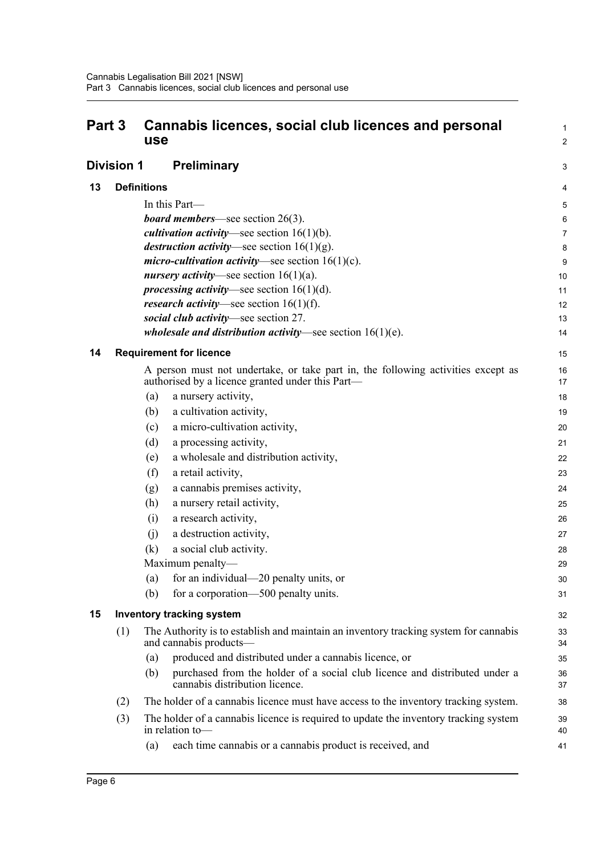<span id="page-12-4"></span><span id="page-12-3"></span><span id="page-12-2"></span><span id="page-12-1"></span><span id="page-12-0"></span>

| Part 3 |                   | Cannabis licences, social club licences and personal<br>use                                                                          | 1<br>$\overline{a}$ |
|--------|-------------------|--------------------------------------------------------------------------------------------------------------------------------------|---------------------|
|        | <b>Division 1</b> | <b>Preliminary</b>                                                                                                                   | 3                   |
| 13     |                   | <b>Definitions</b>                                                                                                                   | 4                   |
|        |                   | In this Part-                                                                                                                        | 5                   |
|        |                   | <b>board members</b> —see section $26(3)$ .                                                                                          | 6                   |
|        |                   | <i>cultivation activity</i> —see section $16(1)(b)$ .                                                                                | 7                   |
|        |                   | <i>destruction activity</i> —see section $16(1)(g)$ .                                                                                | 8                   |
|        |                   | <i>micro-cultivation activity</i> —see section $16(1)(c)$ .                                                                          | 9                   |
|        |                   | <i>nursery activity</i> —see section $16(1)(a)$ .                                                                                    | 10                  |
|        |                   | <i>processing activity</i> —see section $16(1)(d)$ .                                                                                 | 11                  |
|        |                   | <i>research activity</i> —see section $16(1)(f)$ .                                                                                   | 12                  |
|        |                   | social club activity-see section 27.                                                                                                 | 13                  |
|        |                   | wholesale and distribution activity-see section $16(1)(e)$ .                                                                         | 14                  |
| 14     |                   | <b>Requirement for licence</b>                                                                                                       | 15                  |
|        |                   | A person must not undertake, or take part in, the following activities except as<br>authorised by a licence granted under this Part— | 16<br>17            |
|        |                   | (a)<br>a nursery activity,                                                                                                           | 18                  |
|        |                   | a cultivation activity,<br>(b)                                                                                                       | 19                  |
|        |                   | a micro-cultivation activity,<br>(c)                                                                                                 | 20                  |
|        |                   | (d)<br>a processing activity,                                                                                                        | 21                  |
|        |                   | a wholesale and distribution activity,<br>(e)                                                                                        | 22                  |
|        |                   | (f)<br>a retail activity,                                                                                                            | 23                  |
|        |                   | a cannabis premises activity,<br>(g)                                                                                                 | 24                  |
|        |                   | a nursery retail activity,<br>(h)                                                                                                    | 25                  |
|        |                   | a research activity,<br>(i)                                                                                                          | 26                  |
|        |                   | a destruction activity,<br>(i)                                                                                                       | 27                  |
|        |                   | (k)<br>a social club activity.                                                                                                       | 28                  |
|        |                   | Maximum penalty—                                                                                                                     | 29                  |
|        |                   | for an individual—20 penalty units, or<br>(a)                                                                                        | 30                  |
|        |                   | for a corporation—500 penalty units.<br>(b)                                                                                          | 31                  |
| 15     |                   | <b>Inventory tracking system</b>                                                                                                     | 32                  |
|        | (1)               | The Authority is to establish and maintain an inventory tracking system for cannabis<br>and cannabis products—                       | 33<br>34            |
|        |                   | produced and distributed under a cannabis licence, or<br>(a)                                                                         | 35                  |
|        |                   | purchased from the holder of a social club licence and distributed under a<br>(b)<br>cannabis distribution licence.                  | 36<br>37            |
|        | (2)               | The holder of a cannabis licence must have access to the inventory tracking system.                                                  | 38                  |
|        | (3)               | The holder of a cannabis licence is required to update the inventory tracking system<br>in relation to-                              | 39<br>40            |
|        |                   | each time cannabis or a cannabis product is received, and<br>(a)                                                                     | 41                  |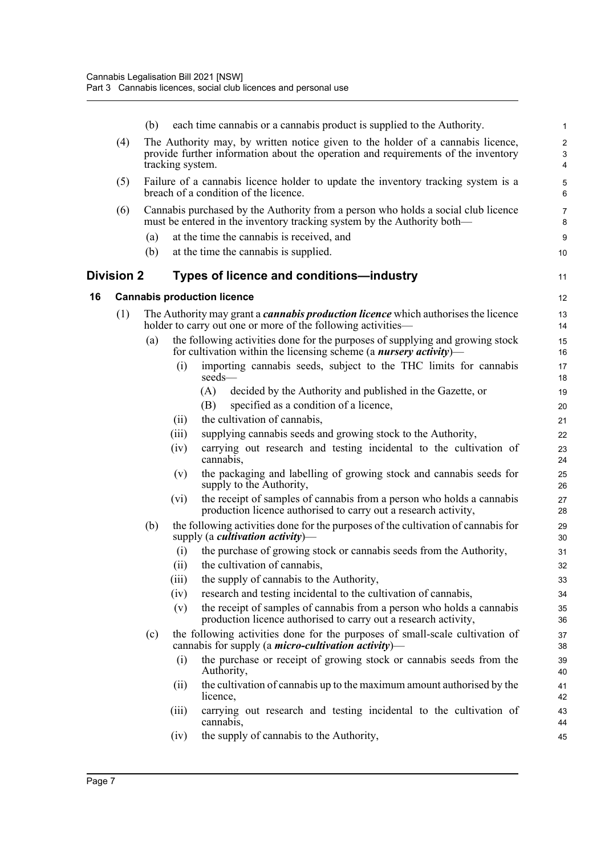<span id="page-13-1"></span><span id="page-13-0"></span>

|    |                   | (b) | each time cannabis or a cannabis product is supplied to the Authority.                                                                                                                   | $\mathbf{1}$             |
|----|-------------------|-----|------------------------------------------------------------------------------------------------------------------------------------------------------------------------------------------|--------------------------|
|    | (4)               |     | The Authority may, by written notice given to the holder of a cannabis licence,<br>provide further information about the operation and requirements of the inventory<br>tracking system. | $\overline{c}$<br>3<br>4 |
|    | (5)               |     | Failure of a cannabis licence holder to update the inventory tracking system is a<br>breach of a condition of the licence.                                                               | 5<br>6                   |
|    | (6)               |     | Cannabis purchased by the Authority from a person who holds a social club licence<br>must be entered in the inventory tracking system by the Authority both—                             | $\overline{7}$<br>8      |
|    |                   | (a) | at the time the cannabis is received, and                                                                                                                                                | 9                        |
|    |                   | (b) | at the time the cannabis is supplied.                                                                                                                                                    | 10                       |
|    | <b>Division 2</b> |     | Types of licence and conditions—industry                                                                                                                                                 | 11                       |
| 16 |                   |     | <b>Cannabis production licence</b>                                                                                                                                                       | 12                       |
|    | (1)               |     | The Authority may grant a <i>cannabis production licence</i> which authorises the licence<br>holder to carry out one or more of the following activities—                                | 13<br>14                 |
|    |                   | (a) | the following activities done for the purposes of supplying and growing stock<br>for cultivation within the licensing scheme (a <i>nursery activity</i> )—                               | 15<br>16                 |
|    |                   |     | importing cannabis seeds, subject to the THC limits for cannabis<br>(i)<br>seeds-                                                                                                        | 17<br>18                 |
|    |                   |     | (A)<br>decided by the Authority and published in the Gazette, or                                                                                                                         | 19                       |
|    |                   |     | specified as a condition of a licence,<br>(B)                                                                                                                                            | 20                       |
|    |                   |     | the cultivation of cannabis,<br>(ii)                                                                                                                                                     | 21                       |
|    |                   |     | supplying cannabis seeds and growing stock to the Authority,<br>(iii)                                                                                                                    | 22                       |
|    |                   |     | carrying out research and testing incidental to the cultivation of<br>(iv)<br>cannabis,                                                                                                  | 23<br>24                 |
|    |                   |     | the packaging and labelling of growing stock and cannabis seeds for<br>(v)<br>supply to the Authority,                                                                                   | 25<br>26                 |
|    |                   |     | the receipt of samples of cannabis from a person who holds a cannabis<br>$(v_i)$<br>production licence authorised to carry out a research activity,                                      | 27<br>28                 |
|    |                   | (b) | the following activities done for the purposes of the cultivation of cannabis for<br>supply (a <i>cultivation activity</i> )—                                                            | 29<br>30                 |
|    |                   |     | the purchase of growing stock or cannabis seeds from the Authority,<br>(i)                                                                                                               | 31                       |
|    |                   |     | the cultivation of cannabis,<br>(ii)                                                                                                                                                     | 32                       |
|    |                   |     | the supply of cannabis to the Authority,<br>(iii)                                                                                                                                        | 33                       |
|    |                   |     | research and testing incidental to the cultivation of cannabis,<br>(iv)                                                                                                                  | 34                       |
|    |                   |     | the receipt of samples of cannabis from a person who holds a cannabis<br>(v)<br>production licence authorised to carry out a research activity,                                          | 35<br>36                 |
|    |                   | (c) | the following activities done for the purposes of small-scale cultivation of<br>cannabis for supply (a <i>micro-cultivation activity</i> )—                                              | 37<br>38                 |
|    |                   |     | the purchase or receipt of growing stock or cannabis seeds from the<br>(i)<br>Authority,                                                                                                 | 39<br>40                 |
|    |                   |     | the cultivation of cannabis up to the maximum amount authorised by the<br>(11)<br>licence,                                                                                               | 41<br>42                 |
|    |                   |     | carrying out research and testing incidental to the cultivation of<br>(111)<br>cannabis,                                                                                                 | 43<br>44                 |
|    |                   |     | the supply of cannabis to the Authority,<br>(iv)                                                                                                                                         | 45                       |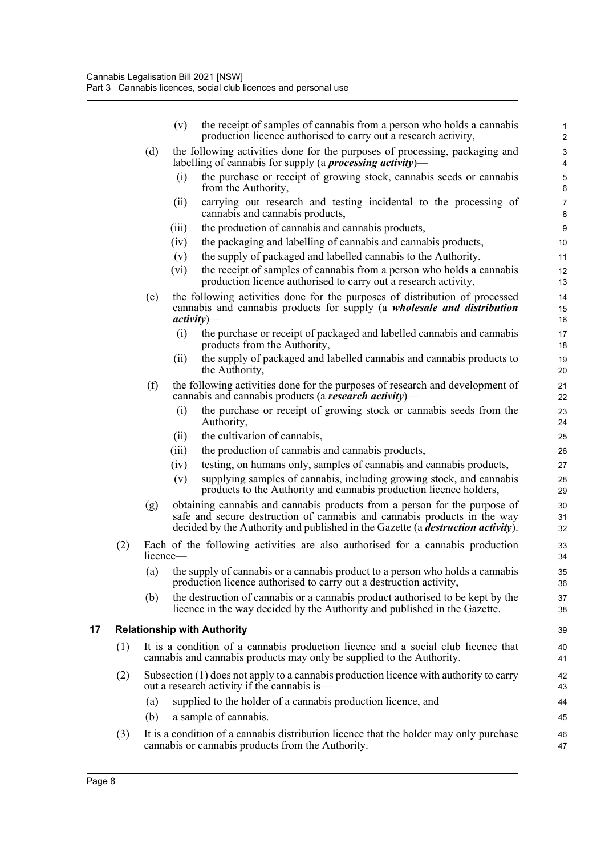<span id="page-14-0"></span>

|    |     |                             | the receipt of samples of cannabis from a person who holds a cannabis<br>(v)<br>production licence authorised to carry out a research activity,                                                                                                  | 1<br>$\overline{2}$            |
|----|-----|-----------------------------|--------------------------------------------------------------------------------------------------------------------------------------------------------------------------------------------------------------------------------------------------|--------------------------------|
|    |     | (d)                         | the following activities done for the purposes of processing, packaging and<br>labelling of cannabis for supply (a <i>processing activity</i> )—                                                                                                 | $\ensuremath{\mathsf{3}}$<br>4 |
|    |     |                             | the purchase or receipt of growing stock, cannabis seeds or cannabis<br>(i)<br>from the Authority,                                                                                                                                               | 5<br>$\,6\,$                   |
|    |     |                             | carrying out research and testing incidental to the processing of<br>(ii)<br>cannabis and cannabis products,                                                                                                                                     | $\overline{7}$<br>8            |
|    |     |                             | the production of cannabis and cannabis products,<br>(iii)                                                                                                                                                                                       | $\boldsymbol{9}$               |
|    |     |                             | the packaging and labelling of cannabis and cannabis products,<br>(iv)                                                                                                                                                                           | 10                             |
|    |     |                             | the supply of packaged and labelled cannabis to the Authority,<br>(v)                                                                                                                                                                            | 11                             |
|    |     |                             | (vi)<br>the receipt of samples of cannabis from a person who holds a cannabis<br>production licence authorised to carry out a research activity,                                                                                                 | 12<br>13                       |
|    |     | (e)                         | the following activities done for the purposes of distribution of processed<br>cannabis and cannabis products for supply (a wholesale and distribution<br>$activity)$ —                                                                          | 14<br>15<br>16                 |
|    |     |                             | the purchase or receipt of packaged and labelled cannabis and cannabis<br>(i)<br>products from the Authority,                                                                                                                                    | 17<br>18                       |
|    |     |                             | the supply of packaged and labelled cannabis and cannabis products to<br>(ii)<br>the Authority,                                                                                                                                                  | 19<br>20                       |
|    |     | (f)                         | the following activities done for the purposes of research and development of<br>cannabis and cannabis products (a <b>research activity</b> )—                                                                                                   | 21<br>22                       |
|    |     |                             | the purchase or receipt of growing stock or cannabis seeds from the<br>(i)<br>Authority,                                                                                                                                                         | 23<br>24                       |
|    |     |                             | the cultivation of cannabis,<br>(ii)                                                                                                                                                                                                             | 25                             |
|    |     |                             | the production of cannabis and cannabis products,<br>(iii)                                                                                                                                                                                       | 26                             |
|    |     |                             | testing, on humans only, samples of cannabis and cannabis products,<br>(iv)                                                                                                                                                                      | 27                             |
|    |     |                             | supplying samples of cannabis, including growing stock, and cannabis<br>(v)<br>products to the Authority and cannabis production licence holders,                                                                                                | 28<br>29                       |
|    |     | (g)                         | obtaining cannabis and cannabis products from a person for the purpose of<br>safe and secure destruction of cannabis and cannabis products in the way<br>decided by the Authority and published in the Gazette (a <i>destruction activity</i> ). | 30<br>31<br>32                 |
|    | (2) | licence—                    | Each of the following activities are also authorised for a cannabis production                                                                                                                                                                   | 33<br>34                       |
|    |     | $\sim$<br>$\left( a\right)$ | the supply of cannabis or a cannabis product to a person who holds a cannabis<br>production licence authorised to carry out a destruction activity,                                                                                              | 35<br>36                       |
|    |     | (b)                         | the destruction of cannabis or a cannabis product authorised to be kept by the<br>licence in the way decided by the Authority and published in the Gazette.                                                                                      | 37<br>38                       |
| 17 |     |                             | <b>Relationship with Authority</b>                                                                                                                                                                                                               | 39                             |
|    | (1) |                             | It is a condition of a cannabis production licence and a social club licence that<br>cannabis and cannabis products may only be supplied to the Authority.                                                                                       | 40<br>41                       |
|    | (2) |                             | Subsection (1) does not apply to a cannabis production licence with authority to carry<br>out a research activity if the cannabis is—                                                                                                            | 42<br>43                       |
|    |     | (a)                         | supplied to the holder of a cannabis production licence, and                                                                                                                                                                                     | 44                             |
|    |     | (b)                         | a sample of cannabis.                                                                                                                                                                                                                            | 45                             |
|    | (3) |                             | It is a condition of a cannabis distribution licence that the holder may only purchase<br>cannabis or cannabis products from the Authority.                                                                                                      | 46<br>47                       |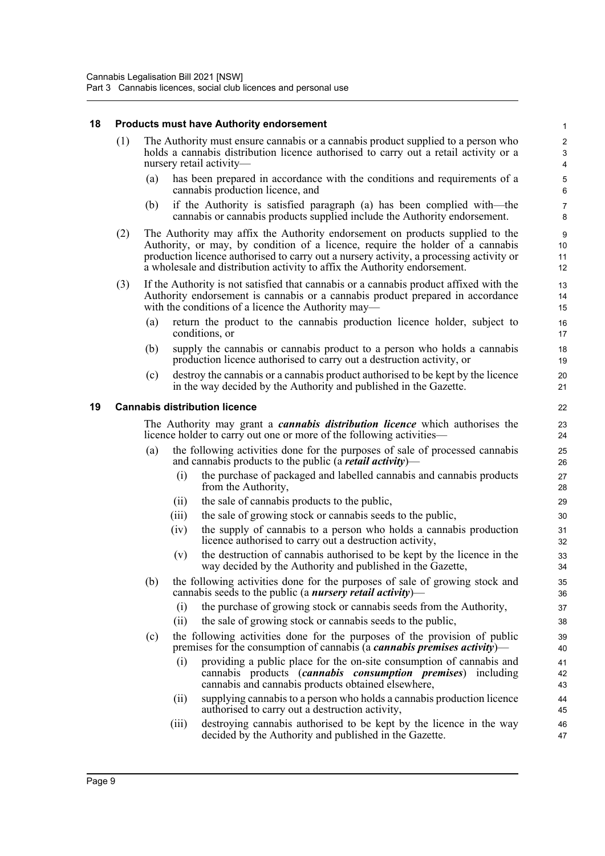#### <span id="page-15-0"></span>**18 Products must have Authority endorsement**

- (1) The Authority must ensure cannabis or a cannabis product supplied to a person who holds a cannabis distribution licence authorised to carry out a retail activity or a nursery retail activity—
	- (a) has been prepared in accordance with the conditions and requirements of a cannabis production licence, and

- (b) if the Authority is satisfied paragraph (a) has been complied with—the cannabis or cannabis products supplied include the Authority endorsement.
- (2) The Authority may affix the Authority endorsement on products supplied to the Authority, or may, by condition of a licence, require the holder of a cannabis production licence authorised to carry out a nursery activity, a processing activity or a wholesale and distribution activity to affix the Authority endorsement.
- (3) If the Authority is not satisfied that cannabis or a cannabis product affixed with the Authority endorsement is cannabis or a cannabis product prepared in accordance with the conditions of a licence the Authority may—
	- (a) return the product to the cannabis production licence holder, subject to conditions, or
	- (b) supply the cannabis or cannabis product to a person who holds a cannabis production licence authorised to carry out a destruction activity, or
	- (c) destroy the cannabis or a cannabis product authorised to be kept by the licence in the way decided by the Authority and published in the Gazette.

#### <span id="page-15-1"></span>**19 Cannabis distribution licence**

The Authority may grant a *cannabis distribution licence* which authorises the licence holder to carry out one or more of the following activities—

- the following activities done for the purposes of sale of processed cannabis and cannabis products to the public (a *retail activity*)—
	- (i) the purchase of packaged and labelled cannabis and cannabis products from the Authority,
	- (ii) the sale of cannabis products to the public,
	- (iii) the sale of growing stock or cannabis seeds to the public,
	- (iv) the supply of cannabis to a person who holds a cannabis production licence authorised to carry out a destruction activity,
	- (v) the destruction of cannabis authorised to be kept by the licence in the way decided by the Authority and published in the Gazette,
- (b) the following activities done for the purposes of sale of growing stock and cannabis seeds to the public (a *nursery retail activity*)—
	- (i) the purchase of growing stock or cannabis seeds from the Authority,
	- (ii) the sale of growing stock or cannabis seeds to the public,
- (c) the following activities done for the purposes of the provision of public premises for the consumption of cannabis (a *cannabis premises activity*)—
	- (i) providing a public place for the on-site consumption of cannabis and cannabis products (*cannabis consumption premises*) including cannabis and cannabis products obtained elsewhere,
	- (ii) supplying cannabis to a person who holds a cannabis production licence authorised to carry out a destruction activity,
	- (iii) destroying cannabis authorised to be kept by the licence in the way decided by the Authority and published in the Gazette.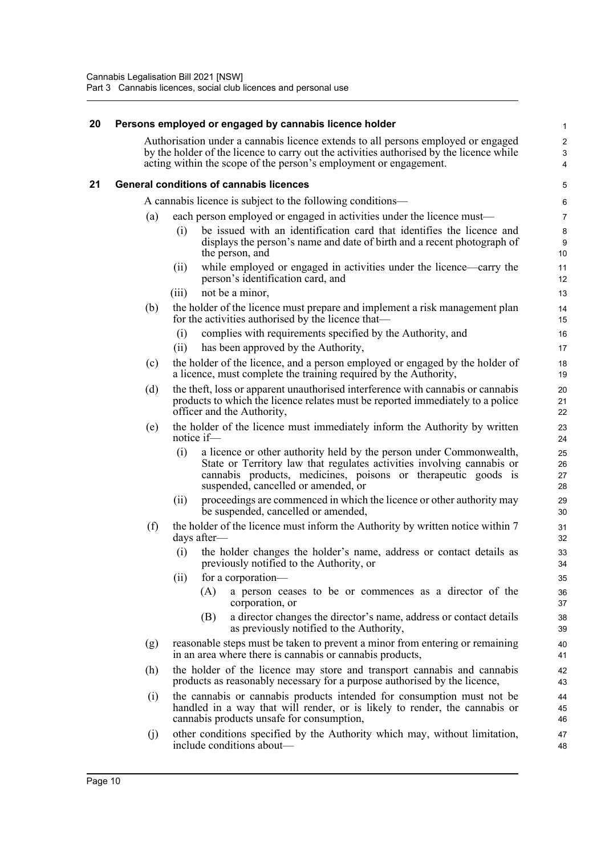#### <span id="page-16-0"></span>**20 Persons employed or engaged by cannabis licence holder**

Authorisation under a cannabis licence extends to all persons employed or engaged by the holder of the licence to carry out the activities authorised by the licence while acting within the scope of the person's employment or engagement.

#### <span id="page-16-1"></span>**21 General conditions of cannabis licences**

A cannabis licence is subject to the following conditions—

- (a) each person employed or engaged in activities under the licence must—
	- (i) be issued with an identification card that identifies the licence and displays the person's name and date of birth and a recent photograph of the person, and
	- (ii) while employed or engaged in activities under the licence—carry the person's identification card, and
	- (iii) not be a minor,
- (b) the holder of the licence must prepare and implement a risk management plan for the activities authorised by the licence that—
	- (i) complies with requirements specified by the Authority, and
	- (ii) has been approved by the Authority,
- (c) the holder of the licence, and a person employed or engaged by the holder of a licence, must complete the training required by the Authority,
- (d) the theft, loss or apparent unauthorised interference with cannabis or cannabis products to which the licence relates must be reported immediately to a police officer and the Authority,
- (e) the holder of the licence must immediately inform the Authority by written notice if—
	- (i) a licence or other authority held by the person under Commonwealth, State or Territory law that regulates activities involving cannabis or cannabis products, medicines, poisons or therapeutic goods is suspended, cancelled or amended, or
	- (ii) proceedings are commenced in which the licence or other authority may be suspended, cancelled or amended,
- (f) the holder of the licence must inform the Authority by written notice within 7 days after—
	- (i) the holder changes the holder's name, address or contact details as previously notified to the Authority, or
	- (ii) for a corporation—
		- (A) a person ceases to be or commences as a director of the corporation, or
		- (B) a director changes the director's name, address or contact details as previously notified to the Authority,
- (g) reasonable steps must be taken to prevent a minor from entering or remaining in an area where there is cannabis or cannabis products,
- (h) the holder of the licence may store and transport cannabis and cannabis products as reasonably necessary for a purpose authorised by the licence,
- (i) the cannabis or cannabis products intended for consumption must not be handled in a way that will render, or is likely to render, the cannabis or cannabis products unsafe for consumption,
- (j) other conditions specified by the Authority which may, without limitation, include conditions about—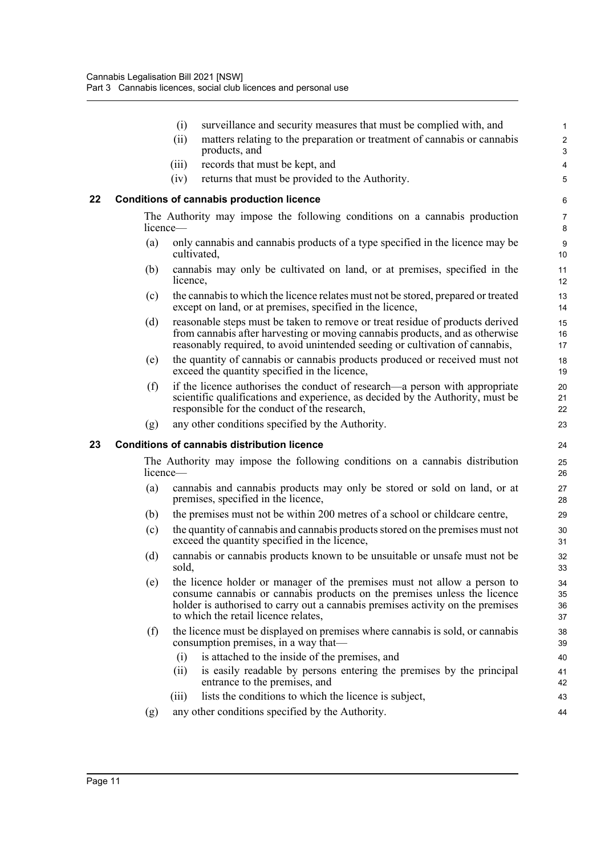<span id="page-17-1"></span><span id="page-17-0"></span>

|    |          | (i)      | surveillance and security measures that must be complied with, and                                                                                                                                                                                                             | $\mathbf{1}$             |
|----|----------|----------|--------------------------------------------------------------------------------------------------------------------------------------------------------------------------------------------------------------------------------------------------------------------------------|--------------------------|
|    |          | (ii)     | matters relating to the preparation or treatment of cannabis or cannabis<br>products, and                                                                                                                                                                                      | $\sqrt{2}$<br>$\sqrt{3}$ |
|    |          | (iii)    | records that must be kept, and                                                                                                                                                                                                                                                 | $\overline{\mathbf{4}}$  |
|    |          | (iv)     | returns that must be provided to the Authority.                                                                                                                                                                                                                                | 5                        |
| 22 |          |          | <b>Conditions of cannabis production licence</b>                                                                                                                                                                                                                               | 6                        |
|    | licence— |          | The Authority may impose the following conditions on a cannabis production                                                                                                                                                                                                     | $\overline{7}$<br>8      |
|    | (a)      |          | only cannabis and cannabis products of a type specified in the licence may be<br>cultivated.                                                                                                                                                                                   | $\boldsymbol{9}$<br>10   |
|    | (b)      | licence, | cannabis may only be cultivated on land, or at premises, specified in the                                                                                                                                                                                                      | 11<br>12                 |
|    | (c)      |          | the cannabis to which the licence relates must not be stored, prepared or treated<br>except on land, or at premises, specified in the licence,                                                                                                                                 | 13<br>14                 |
|    | (d)      |          | reasonable steps must be taken to remove or treat residue of products derived<br>from cannabis after harvesting or moving cannabis products, and as otherwise<br>reasonably required, to avoid unintended seeding or cultivation of cannabis,                                  | 15<br>16<br>17           |
|    | (e)      |          | the quantity of cannabis or cannabis products produced or received must not<br>exceed the quantity specified in the licence,                                                                                                                                                   | 18<br>19                 |
|    | (f)      |          | if the licence authorises the conduct of research—a person with appropriate<br>scientific qualifications and experience, as decided by the Authority, must be<br>responsible for the conduct of the research,                                                                  | 20<br>21<br>22           |
|    | (g)      |          | any other conditions specified by the Authority.                                                                                                                                                                                                                               | 23                       |
| 23 |          |          | <b>Conditions of cannabis distribution licence</b>                                                                                                                                                                                                                             | 24                       |
|    |          | licence— | The Authority may impose the following conditions on a cannabis distribution                                                                                                                                                                                                   | 25<br>26                 |
|    | (a)      |          | cannabis and cannabis products may only be stored or sold on land, or at<br>premises, specified in the licence,                                                                                                                                                                | 27<br>28                 |
|    | (b)      |          | the premises must not be within 200 metres of a school or childcare centre,                                                                                                                                                                                                    | 29                       |
|    | (c)      |          | the quantity of cannabis and cannabis products stored on the premises must not<br>exceed the quantity specified in the licence,                                                                                                                                                | 30<br>31                 |
|    | (d)      | sold,    | cannabis or cannabis products known to be unsuitable or unsafe must not be                                                                                                                                                                                                     | 32<br>33                 |
|    | (e)      |          | the licence holder or manager of the premises must not allow a person to<br>consume cannabis or cannabis products on the premises unless the licence<br>holder is authorised to carry out a cannabis premises activity on the premises<br>to which the retail licence relates, | 34<br>35<br>36<br>37     |
|    | (f)      |          | the licence must be displayed on premises where cannabis is sold, or cannabis<br>consumption premises, in a way that—                                                                                                                                                          | 38<br>39                 |
|    |          | (i)      | is attached to the inside of the premises, and                                                                                                                                                                                                                                 | 40                       |
|    |          | (ii)     | is easily readable by persons entering the premises by the principal<br>entrance to the premises, and                                                                                                                                                                          | 41<br>42                 |
|    |          | (iii)    | lists the conditions to which the licence is subject,                                                                                                                                                                                                                          | 43                       |
|    | (g)      |          | any other conditions specified by the Authority.                                                                                                                                                                                                                               | 44                       |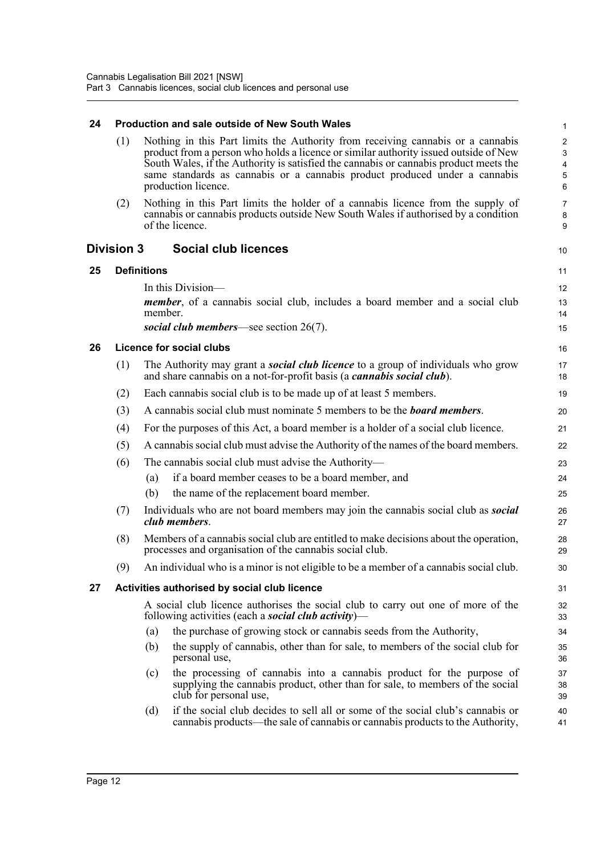<span id="page-18-4"></span><span id="page-18-3"></span><span id="page-18-2"></span><span id="page-18-1"></span><span id="page-18-0"></span>

| 24 |                   |                    | <b>Production and sale outside of New South Wales</b>                                                                                                                                                                                                                                                                                                                 | $\mathbf{1}$                                                       |
|----|-------------------|--------------------|-----------------------------------------------------------------------------------------------------------------------------------------------------------------------------------------------------------------------------------------------------------------------------------------------------------------------------------------------------------------------|--------------------------------------------------------------------|
|    | (1)               |                    | Nothing in this Part limits the Authority from receiving cannabis or a cannabis<br>product from a person who holds a licence or similar authority issued outside of New<br>South Wales, if the Authority is satisfied the cannabis or cannabis product meets the<br>same standards as cannabis or a cannabis product produced under a cannabis<br>production licence. | $\overline{c}$<br>3<br>$\overline{4}$<br>$\overline{5}$<br>$\,6\,$ |
|    | (2)               |                    | Nothing in this Part limits the holder of a cannabis licence from the supply of<br>cannabis or cannabis products outside New South Wales if authorised by a condition<br>of the licence.                                                                                                                                                                              | $\overline{7}$<br>8<br>9                                           |
|    | <b>Division 3</b> |                    | <b>Social club licences</b>                                                                                                                                                                                                                                                                                                                                           | 10                                                                 |
| 25 |                   | <b>Definitions</b> |                                                                                                                                                                                                                                                                                                                                                                       | 11                                                                 |
|    |                   |                    | In this Division-                                                                                                                                                                                                                                                                                                                                                     | 12                                                                 |
|    |                   | member.            | <i>member</i> , of a cannabis social club, includes a board member and a social club                                                                                                                                                                                                                                                                                  | 13<br>14                                                           |
|    |                   |                    | social club members—see section $26(7)$ .                                                                                                                                                                                                                                                                                                                             | 15                                                                 |
| 26 |                   |                    | <b>Licence for social clubs</b>                                                                                                                                                                                                                                                                                                                                       | 16                                                                 |
|    | (1)               |                    | The Authority may grant a <b><i>social club licence</i></b> to a group of individuals who grow<br>and share cannabis on a not-for-profit basis (a <i>cannabis social club</i> ).                                                                                                                                                                                      | 17<br>18                                                           |
|    | (2)               |                    | Each cannabis social club is to be made up of at least 5 members.                                                                                                                                                                                                                                                                                                     | 19                                                                 |
|    | (3)               |                    | A cannabis social club must nominate 5 members to be the <b>board members</b> .                                                                                                                                                                                                                                                                                       | 20                                                                 |
|    | (4)               |                    | For the purposes of this Act, a board member is a holder of a social club licence.                                                                                                                                                                                                                                                                                    | 21                                                                 |
|    | (5)               |                    | A cannabis social club must advise the Authority of the names of the board members.                                                                                                                                                                                                                                                                                   | 22                                                                 |
|    | (6)               |                    | The cannabis social club must advise the Authority—                                                                                                                                                                                                                                                                                                                   | 23                                                                 |
|    |                   | (a)                | if a board member ceases to be a board member, and                                                                                                                                                                                                                                                                                                                    | 24                                                                 |
|    |                   | (b)                | the name of the replacement board member.                                                                                                                                                                                                                                                                                                                             | 25                                                                 |
|    | (7)               |                    | Individuals who are not board members may join the cannabis social club as <b>social</b><br>club members.                                                                                                                                                                                                                                                             | 26<br>27                                                           |
|    | (8)               |                    | Members of a cannabis social club are entitled to make decisions about the operation,<br>processes and organisation of the cannabis social club.                                                                                                                                                                                                                      | 28<br>29                                                           |
|    | (9)               |                    | An individual who is a minor is not eligible to be a member of a cannabis social club.                                                                                                                                                                                                                                                                                | 30                                                                 |
| 27 |                   |                    | Activities authorised by social club licence                                                                                                                                                                                                                                                                                                                          | 31                                                                 |
|    |                   |                    | A social club licence authorises the social club to carry out one of more of the<br>following activities (each a <b>social club activity</b> )—                                                                                                                                                                                                                       | 32<br>33                                                           |
|    |                   | (a)                | the purchase of growing stock or cannabis seeds from the Authority,                                                                                                                                                                                                                                                                                                   | 34                                                                 |
|    |                   | (b)                | the supply of cannabis, other than for sale, to members of the social club for<br>personal use,                                                                                                                                                                                                                                                                       | 35<br>36                                                           |
|    |                   | (c)                | the processing of cannabis into a cannabis product for the purpose of<br>supplying the cannabis product, other than for sale, to members of the social<br>club for personal use,                                                                                                                                                                                      | 37<br>38<br>39                                                     |
|    |                   | (d)                | if the social club decides to sell all or some of the social club's cannabis or<br>cannabis products—the sale of cannabis or cannabis products to the Authority,                                                                                                                                                                                                      | 40<br>41                                                           |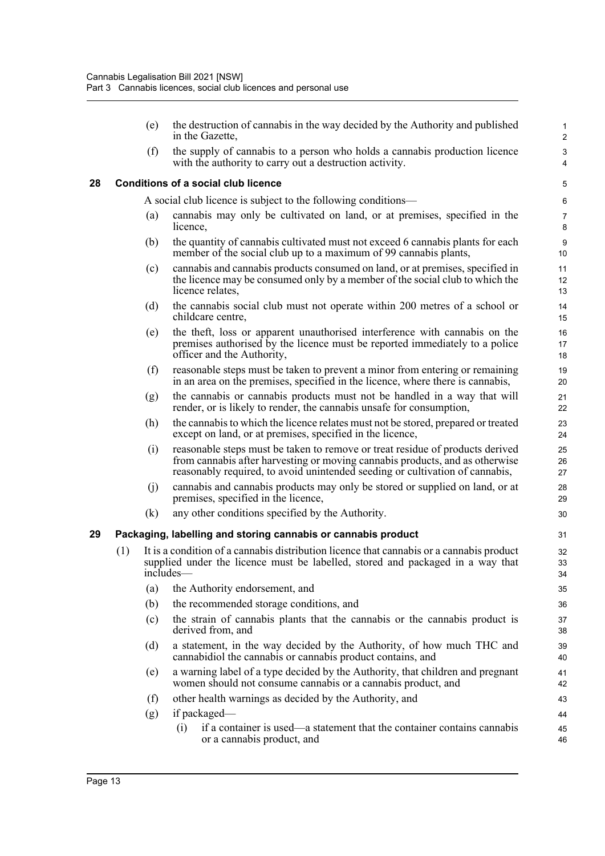(e) the destruction of cannabis in the way decided by the Authority and published in the Gazette,

(f) the supply of cannabis to a person who holds a cannabis production licence with the authority to carry out a destruction activity.

#### <span id="page-19-0"></span>**28 Conditions of a social club licence**

A social club licence is subject to the following conditions—

- (a) cannabis may only be cultivated on land, or at premises, specified in the licence,
- (b) the quantity of cannabis cultivated must not exceed 6 cannabis plants for each member of the social club up to a maximum of 99 cannabis plants,
- (c) cannabis and cannabis products consumed on land, or at premises, specified in the licence may be consumed only by a member of the social club to which the licence relates,
- (d) the cannabis social club must not operate within 200 metres of a school or childcare centre,
- (e) the theft, loss or apparent unauthorised interference with cannabis on the premises authorised by the licence must be reported immediately to a police officer and the Authority,
- (f) reasonable steps must be taken to prevent a minor from entering or remaining in an area on the premises, specified in the licence, where there is cannabis,
- (g) the cannabis or cannabis products must not be handled in a way that will render, or is likely to render, the cannabis unsafe for consumption,
- (h) the cannabis to which the licence relates must not be stored, prepared or treated except on land, or at premises, specified in the licence,
- (i) reasonable steps must be taken to remove or treat residue of products derived from cannabis after harvesting or moving cannabis products, and as otherwise reasonably required, to avoid unintended seeding or cultivation of cannabis,
- (j) cannabis and cannabis products may only be stored or supplied on land, or at premises, specified in the licence,
- (k) any other conditions specified by the Authority.

#### <span id="page-19-1"></span>**29 Packaging, labelling and storing cannabis or cannabis product**

- (1) It is a condition of a cannabis distribution licence that cannabis or a cannabis product supplied under the licence must be labelled, stored and packaged in a way that includes—
	- (a) the Authority endorsement, and
	- (b) the recommended storage conditions, and
	- (c) the strain of cannabis plants that the cannabis or the cannabis product is derived from, and
	- (d) a statement, in the way decided by the Authority, of how much THC and cannabidiol the cannabis or cannabis product contains, and
	- (e) a warning label of a type decided by the Authority, that children and pregnant women should not consume cannabis or a cannabis product, and
	- (f) other health warnings as decided by the Authority, and
	- (g) if packaged—
		- (i) if a container is used—a statement that the container contains cannabis or a cannabis product, and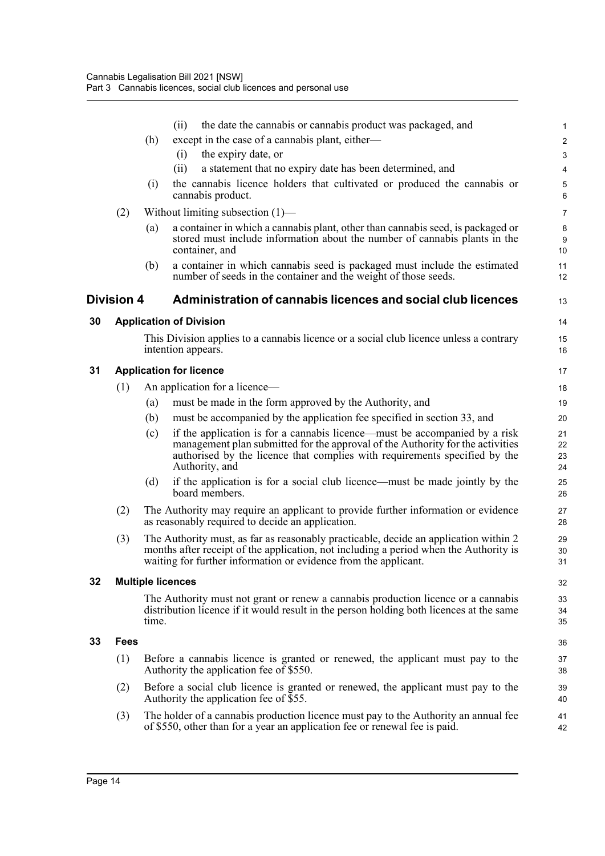<span id="page-20-4"></span><span id="page-20-3"></span><span id="page-20-2"></span><span id="page-20-1"></span><span id="page-20-0"></span>

|    |                   |       | the date the cannabis or cannabis product was packaged, and<br>(ii)                                                                                                                                                                                          | 1                       |
|----|-------------------|-------|--------------------------------------------------------------------------------------------------------------------------------------------------------------------------------------------------------------------------------------------------------------|-------------------------|
|    |                   | (h)   | except in the case of a cannabis plant, either-                                                                                                                                                                                                              | $\overline{\mathbf{c}}$ |
|    |                   |       | the expiry date, or<br>(i)                                                                                                                                                                                                                                   | 3                       |
|    |                   |       | a statement that no expiry date has been determined, and<br>(ii)                                                                                                                                                                                             | 4                       |
|    |                   | (i)   | the cannabis licence holders that cultivated or produced the cannabis or<br>cannabis product.                                                                                                                                                                | 5<br>6                  |
|    | (2)               |       | Without limiting subsection $(1)$ —                                                                                                                                                                                                                          | 7                       |
|    |                   | (a)   | a container in which a cannabis plant, other than cannabis seed, is packaged or<br>stored must include information about the number of cannabis plants in the<br>container, and                                                                              | 8<br>9<br>10            |
|    |                   | (b)   | a container in which cannabis seed is packaged must include the estimated<br>number of seeds in the container and the weight of those seeds.                                                                                                                 | 11<br>12                |
|    | <b>Division 4</b> |       | Administration of cannabis licences and social club licences                                                                                                                                                                                                 | 13                      |
| 30 |                   |       | <b>Application of Division</b>                                                                                                                                                                                                                               | 14                      |
|    |                   |       | This Division applies to a cannabis licence or a social club licence unless a contrary<br>intention appears.                                                                                                                                                 | 15<br>16                |
| 31 |                   |       | <b>Application for licence</b>                                                                                                                                                                                                                               | 17                      |
|    | (1)               |       | An application for a licence—                                                                                                                                                                                                                                | 18                      |
|    |                   | (a)   | must be made in the form approved by the Authority, and                                                                                                                                                                                                      | 19                      |
|    |                   | (b)   | must be accompanied by the application fee specified in section 33, and                                                                                                                                                                                      | 20                      |
|    |                   | (c)   | if the application is for a cannabis licence—must be accompanied by a risk<br>management plan submitted for the approval of the Authority for the activities<br>authorised by the licence that complies with requirements specified by the<br>Authority, and | 21<br>22<br>23<br>24    |
|    |                   | (d)   | if the application is for a social club licence—must be made jointly by the<br>board members.                                                                                                                                                                | 25<br>26                |
|    | (2)               |       | The Authority may require an applicant to provide further information or evidence<br>as reasonably required to decide an application.                                                                                                                        | 27<br>28                |
|    | (3)               |       | The Authority must, as far as reasonably practicable, decide an application within 2<br>months after receipt of the application, not including a period when the Authority is<br>waiting for further information or evidence from the applicant.             | 29<br>30<br>31          |
| 32 |                   |       | <b>Multiple licences</b>                                                                                                                                                                                                                                     | 32                      |
|    |                   | time. | The Authority must not grant or renew a cannabis production licence or a cannabis<br>distribution licence if it would result in the person holding both licences at the same                                                                                 | 33<br>34<br>35          |
| 33 | Fees              |       |                                                                                                                                                                                                                                                              | 36                      |
|    | (1)               |       | Before a cannabis licence is granted or renewed, the applicant must pay to the<br>Authority the application fee of \$550.                                                                                                                                    | 37<br>38                |
|    | (2)               |       | Before a social club licence is granted or renewed, the applicant must pay to the<br>Authority the application fee of \$55.                                                                                                                                  | 39<br>40                |
|    | (3)               |       | The holder of a cannabis production licence must pay to the Authority an annual fee<br>of \$550, other than for a year an application fee or renewal fee is paid.                                                                                            | 41<br>42                |
|    |                   |       |                                                                                                                                                                                                                                                              |                         |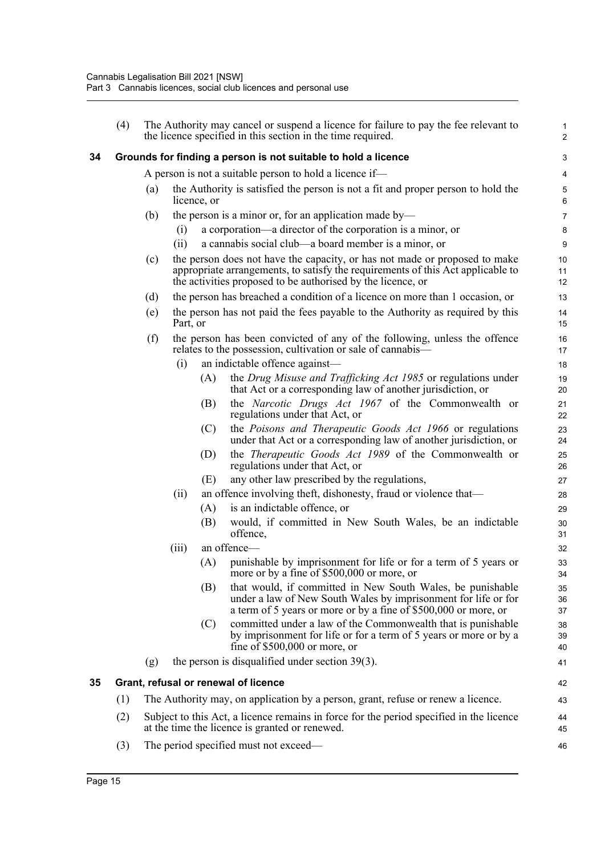<span id="page-21-1"></span><span id="page-21-0"></span>

|    | (4) |     |          |             | The Authority may cancel or suspend a licence for failure to pay the fee relevant to<br>the licence specified in this section in the time required.                                                                          | $\mathbf{1}$<br>$\overline{2}$ |
|----|-----|-----|----------|-------------|------------------------------------------------------------------------------------------------------------------------------------------------------------------------------------------------------------------------------|--------------------------------|
| 34 |     |     |          |             | Grounds for finding a person is not suitable to hold a licence                                                                                                                                                               | 3                              |
|    |     |     |          |             | A person is not a suitable person to hold a licence if—                                                                                                                                                                      | 4                              |
|    |     | (a) |          | licence, or | the Authority is satisfied the person is not a fit and proper person to hold the                                                                                                                                             | $\mathbf 5$<br>6               |
|    |     | (b) |          |             | the person is a minor or, for an application made by—                                                                                                                                                                        | 7                              |
|    |     |     | (i)      |             | a corporation—a director of the corporation is a minor, or                                                                                                                                                                   | 8                              |
|    |     |     | (ii)     |             | a cannabis social club—a board member is a minor, or                                                                                                                                                                         | 9                              |
|    |     | (c) |          |             | the person does not have the capacity, or has not made or proposed to make<br>appropriate arrangements, to satisfy the requirements of this Act applicable to<br>the activities proposed to be authorised by the licence, or | 10<br>11<br>12                 |
|    |     | (d) |          |             | the person has breached a condition of a licence on more than 1 occasion, or                                                                                                                                                 | 13                             |
|    |     | (e) | Part, or |             | the person has not paid the fees payable to the Authority as required by this                                                                                                                                                | 14<br>15                       |
|    |     | (f) |          |             | the person has been convicted of any of the following, unless the offence<br>relates to the possession, cultivation or sale of cannabis—                                                                                     | 16<br>17                       |
|    |     |     | (i)      |             | an indictable offence against-                                                                                                                                                                                               | 18                             |
|    |     |     |          | (A)         | the Drug Misuse and Trafficking Act 1985 or regulations under                                                                                                                                                                | 19                             |
|    |     |     |          | (B)         | that Act or a corresponding law of another jurisdiction, or<br>the Narcotic Drugs Act 1967 of the Commonwealth or                                                                                                            | 20<br>21                       |
|    |     |     |          |             | regulations under that Act, or                                                                                                                                                                                               | 22                             |
|    |     |     |          | (C)         | the Poisons and Therapeutic Goods Act 1966 or regulations<br>under that Act or a corresponding law of another jurisdiction, or                                                                                               | 23<br>24                       |
|    |     |     |          | (D)         | the <i>Therapeutic Goods Act 1989</i> of the Commonwealth or<br>regulations under that Act, or                                                                                                                               | 25<br>26                       |
|    |     |     |          | (E)         | any other law prescribed by the regulations,                                                                                                                                                                                 | 27                             |
|    |     |     | (ii)     |             | an offence involving theft, dishonesty, fraud or violence that—                                                                                                                                                              | 28                             |
|    |     |     |          | (A)         | is an indictable offence, or                                                                                                                                                                                                 | 29                             |
|    |     |     |          | (B)         | would, if committed in New South Wales, be an indictable<br>offence,                                                                                                                                                         | 30<br>31                       |
|    |     |     | (iii)    |             | an offence-                                                                                                                                                                                                                  | 32                             |
|    |     |     |          | (A)         | punishable by imprisonment for life or for a term of 5 years or<br>more or by a fine of \$500,000 or more, or                                                                                                                | 33<br>34                       |
|    |     |     |          | (B)         | that would, if committed in New South Wales, be punishable<br>under a law of New South Wales by imprisonment for life or for<br>a term of 5 years or more or by a fine of \$500,000 or more, or                              | 35<br>36<br>37                 |
|    |     |     |          | (C)         | committed under a law of the Commonwealth that is punishable<br>by imprisonment for life or for a term of 5 years or more or by a<br>fine of $$500,000$ or more, or                                                          | 38<br>39<br>40                 |
|    |     | (g) |          |             | the person is disqualified under section $39(3)$ .                                                                                                                                                                           | 41                             |
| 35 |     |     |          |             | Grant, refusal or renewal of licence                                                                                                                                                                                         | 42                             |
|    | (1) |     |          |             | The Authority may, on application by a person, grant, refuse or renew a licence.                                                                                                                                             | 43                             |
|    | (2) |     |          |             | Subject to this Act, a licence remains in force for the period specified in the licence<br>at the time the licence is granted or renewed.                                                                                    | 44<br>45                       |
|    | (3) |     |          |             | The period specified must not exceed—                                                                                                                                                                                        | 46                             |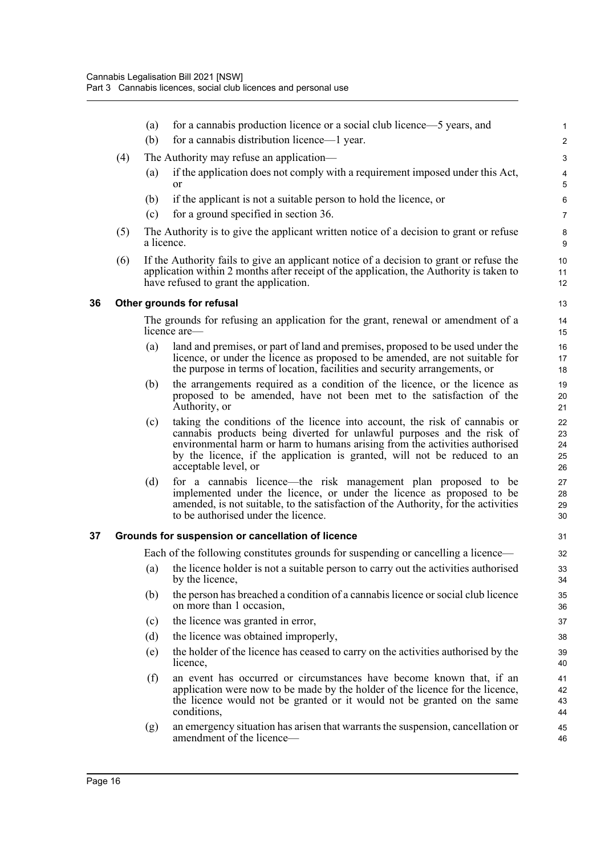<span id="page-22-1"></span><span id="page-22-0"></span>

|    |     | (a)        | for a cannabis production licence or a social club licence—5 years, and                                                                                                                                                                                                                                                                 | $\mathbf{1}$               |
|----|-----|------------|-----------------------------------------------------------------------------------------------------------------------------------------------------------------------------------------------------------------------------------------------------------------------------------------------------------------------------------------|----------------------------|
|    |     | (b)        | for a cannabis distribution licence—1 year.                                                                                                                                                                                                                                                                                             | $\sqrt{2}$                 |
|    | (4) |            | The Authority may refuse an application—                                                                                                                                                                                                                                                                                                | $\ensuremath{\mathsf{3}}$  |
|    |     | (a)        | if the application does not comply with a requirement imposed under this Act,<br><b>or</b>                                                                                                                                                                                                                                              | $\pmb{4}$<br>5             |
|    |     | (b)        | if the applicant is not a suitable person to hold the licence, or                                                                                                                                                                                                                                                                       | $\,6\,$                    |
|    |     | (c)        | for a ground specified in section 36.                                                                                                                                                                                                                                                                                                   | $\overline{7}$             |
|    | (5) | a licence. | The Authority is to give the applicant written notice of a decision to grant or refuse                                                                                                                                                                                                                                                  | 8<br>9                     |
|    | (6) |            | If the Authority fails to give an applicant notice of a decision to grant or refuse the<br>application within 2 months after receipt of the application, the Authority is taken to<br>have refused to grant the application.                                                                                                            | 10<br>11<br>12             |
| 36 |     |            | Other grounds for refusal                                                                                                                                                                                                                                                                                                               | 13                         |
|    |     |            | The grounds for refusing an application for the grant, renewal or amendment of a<br>licence are—                                                                                                                                                                                                                                        | 14<br>15                   |
|    |     | (a)        | land and premises, or part of land and premises, proposed to be used under the<br>licence, or under the licence as proposed to be amended, are not suitable for<br>the purpose in terms of location, facilities and security arrangements, or                                                                                           | 16<br>17<br>18             |
|    |     | (b)        | the arrangements required as a condition of the licence, or the licence as<br>proposed to be amended, have not been met to the satisfaction of the<br>Authority, or                                                                                                                                                                     | 19<br>20<br>21             |
|    |     | (c)        | taking the conditions of the licence into account, the risk of cannabis or<br>cannabis products being diverted for unlawful purposes and the risk of<br>environmental harm or harm to humans arising from the activities authorised<br>by the licence, if the application is granted, will not be reduced to an<br>acceptable level, or | 22<br>23<br>24<br>25<br>26 |
|    |     | (d)        | for a cannabis licence—the risk management plan proposed to be<br>implemented under the licence, or under the licence as proposed to be<br>amended, is not suitable, to the satisfaction of the Authority, for the activities<br>to be authorised under the licence.                                                                    | 27<br>28<br>29<br>30       |
| 37 |     |            | Grounds for suspension or cancellation of licence                                                                                                                                                                                                                                                                                       | 31                         |
|    |     |            | Each of the following constitutes grounds for suspending or cancelling a licence—                                                                                                                                                                                                                                                       | 32                         |
|    |     | (a)        | the licence holder is not a suitable person to carry out the activities authorised<br>by the licence,                                                                                                                                                                                                                                   | 33<br>34                   |
|    |     | (b)        | the person has breached a condition of a cannabis licence or social club licence<br>on more than 1 occasion,                                                                                                                                                                                                                            | 35<br>36                   |
|    |     | (c)        | the licence was granted in error,                                                                                                                                                                                                                                                                                                       | 37                         |
|    |     | (d)        | the licence was obtained improperly,                                                                                                                                                                                                                                                                                                    | 38                         |
|    |     | (e)        | the holder of the licence has ceased to carry on the activities authorised by the<br>licence,                                                                                                                                                                                                                                           | 39<br>40                   |
|    |     | (f)        | an event has occurred or circumstances have become known that, if an<br>application were now to be made by the holder of the licence for the licence,<br>the licence would not be granted or it would not be granted on the same<br>conditions,                                                                                         | 41<br>42<br>43<br>44       |
|    |     | (g)        | an emergency situation has arisen that warrants the suspension, cancellation or<br>amendment of the licence—                                                                                                                                                                                                                            | 45<br>46                   |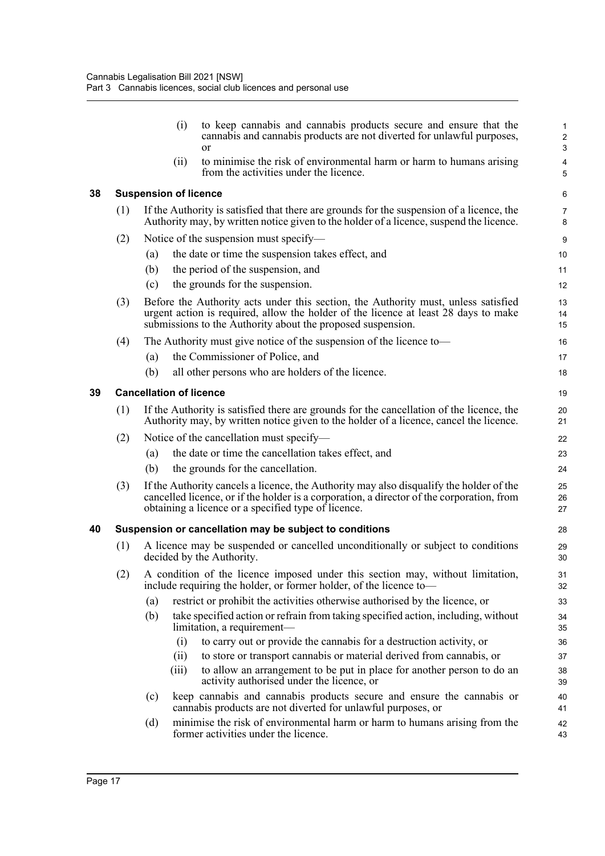<span id="page-23-2"></span><span id="page-23-1"></span><span id="page-23-0"></span>

|    |     | (i)                            | to keep cannabis and cannabis products secure and ensure that the<br>cannabis and cannabis products are not diverted for unlawful purposes,<br><sub>or</sub>                                                                                | 1<br>$\sqrt{2}$<br>$\mathbf{3}$ |
|----|-----|--------------------------------|---------------------------------------------------------------------------------------------------------------------------------------------------------------------------------------------------------------------------------------------|---------------------------------|
|    |     | (ii)                           | to minimise the risk of environmental harm or harm to humans arising<br>from the activities under the licence.                                                                                                                              | 4<br>5                          |
| 38 |     | <b>Suspension of licence</b>   |                                                                                                                                                                                                                                             | 6                               |
|    | (1) |                                | If the Authority is satisfied that there are grounds for the suspension of a licence, the<br>Authority may, by written notice given to the holder of a licence, suspend the licence.                                                        | 7<br>8                          |
|    | (2) |                                | Notice of the suspension must specify—                                                                                                                                                                                                      | 9                               |
|    |     | (a)                            | the date or time the suspension takes effect, and                                                                                                                                                                                           | 10                              |
|    |     | (b)                            | the period of the suspension, and                                                                                                                                                                                                           | 11                              |
|    |     | (c)                            | the grounds for the suspension.                                                                                                                                                                                                             | 12                              |
|    | (3) |                                | Before the Authority acts under this section, the Authority must, unless satisfied<br>urgent action is required, allow the holder of the licence at least 28 days to make<br>submissions to the Authority about the proposed suspension.    | 13<br>14<br>15                  |
|    | (4) |                                | The Authority must give notice of the suspension of the licence to-                                                                                                                                                                         | 16                              |
|    |     | (a)                            | the Commissioner of Police, and                                                                                                                                                                                                             | 17                              |
|    |     | (b)                            | all other persons who are holders of the licence.                                                                                                                                                                                           | 18                              |
| 39 |     | <b>Cancellation of licence</b> |                                                                                                                                                                                                                                             | 19                              |
|    | (1) |                                | If the Authority is satisfied there are grounds for the cancellation of the licence, the<br>Authority may, by written notice given to the holder of a licence, cancel the licence.                                                          | 20<br>21                        |
|    | (2) |                                | Notice of the cancellation must specify—                                                                                                                                                                                                    | 22                              |
|    |     | (a)                            | the date or time the cancellation takes effect, and                                                                                                                                                                                         | 23                              |
|    |     | (b)                            | the grounds for the cancellation.                                                                                                                                                                                                           | 24                              |
|    | (3) |                                | If the Authority cancels a licence, the Authority may also disqualify the holder of the<br>cancelled licence, or if the holder is a corporation, a director of the corporation, from<br>obtaining a licence or a specified type of licence. | 25<br>26<br>27                  |
| 40 |     |                                | Suspension or cancellation may be subject to conditions                                                                                                                                                                                     | 28                              |
|    | (1) |                                | A licence may be suspended or cancelled unconditionally or subject to conditions<br>decided by the Authority.                                                                                                                               | 29<br>30                        |
|    | (2) |                                | A condition of the licence imposed under this section may, without limitation,<br>include requiring the holder, or former holder, of the licence to-                                                                                        | 31<br>32                        |
|    |     | (a)                            | restrict or prohibit the activities otherwise authorised by the licence, or                                                                                                                                                                 | 33                              |
|    |     | (b)                            | take specified action or refrain from taking specified action, including, without<br>limitation, a requirement—                                                                                                                             | 34<br>35                        |
|    |     | (i)                            | to carry out or provide the cannabis for a destruction activity, or                                                                                                                                                                         | 36                              |
|    |     | (ii)                           | to store or transport cannabis or material derived from cannabis, or                                                                                                                                                                        | 37                              |
|    |     | (iii)                          | to allow an arrangement to be put in place for another person to do an<br>activity authorised under the licence, or                                                                                                                         | 38<br>39                        |
|    |     | (c)                            | keep cannabis and cannabis products secure and ensure the cannabis or<br>cannabis products are not diverted for unlawful purposes, or                                                                                                       | 40<br>41                        |
|    |     | (d)                            | minimise the risk of environmental harm or harm to humans arising from the<br>former activities under the licence.                                                                                                                          | 42<br>43                        |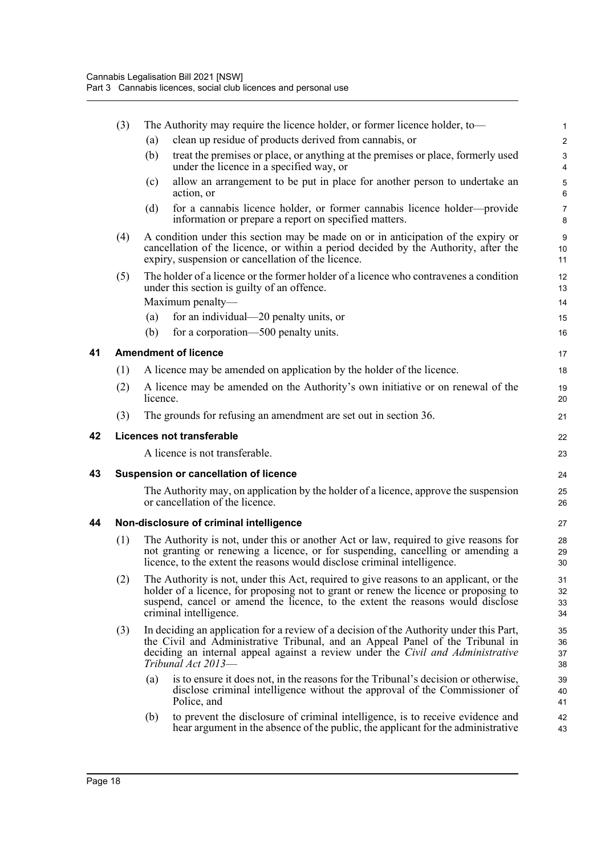<span id="page-24-3"></span><span id="page-24-2"></span><span id="page-24-1"></span><span id="page-24-0"></span>

|    | (3) |          | The Authority may require the licence holder, or former licence holder, to-                                                                                                                                                                                                                | 1                                           |
|----|-----|----------|--------------------------------------------------------------------------------------------------------------------------------------------------------------------------------------------------------------------------------------------------------------------------------------------|---------------------------------------------|
|    |     | (a)      | clean up residue of products derived from cannabis, or                                                                                                                                                                                                                                     | $\sqrt{2}$                                  |
|    |     | (b)      | treat the premises or place, or anything at the premises or place, formerly used<br>under the licence in a specified way, or                                                                                                                                                               | $\ensuremath{\mathsf{3}}$<br>$\overline{4}$ |
|    |     | (c)      | allow an arrangement to be put in place for another person to undertake an<br>action, or                                                                                                                                                                                                   | 5<br>6                                      |
|    |     | (d)      | for a cannabis licence holder, or former cannabis licence holder—provide<br>information or prepare a report on specified matters.                                                                                                                                                          | $\overline{7}$<br>8                         |
|    | (4) |          | A condition under this section may be made on or in anticipation of the expiry or<br>cancellation of the licence, or within a period decided by the Authority, after the<br>expiry, suspension or cancellation of the licence.                                                             | $\boldsymbol{9}$<br>10<br>11                |
|    | (5) |          | The holder of a licence or the former holder of a licence who contravenes a condition<br>under this section is guilty of an offence.                                                                                                                                                       | 12<br>13                                    |
|    |     |          | Maximum penalty-                                                                                                                                                                                                                                                                           | 14                                          |
|    |     | (a)      | for an individual—20 penalty units, or                                                                                                                                                                                                                                                     | 15                                          |
|    |     | (b)      | for a corporation-500 penalty units.                                                                                                                                                                                                                                                       | 16                                          |
| 41 |     |          | <b>Amendment of licence</b>                                                                                                                                                                                                                                                                | 17                                          |
|    | (1) |          | A licence may be amended on application by the holder of the licence.                                                                                                                                                                                                                      | 18                                          |
|    | (2) | licence. | A licence may be amended on the Authority's own initiative or on renewal of the                                                                                                                                                                                                            | 19<br>20                                    |
|    | (3) |          | The grounds for refusing an amendment are set out in section 36.                                                                                                                                                                                                                           | 21                                          |
| 42 |     |          | <b>Licences not transferable</b>                                                                                                                                                                                                                                                           | 22                                          |
|    |     |          | A licence is not transferable.                                                                                                                                                                                                                                                             | 23                                          |
| 43 |     |          | <b>Suspension or cancellation of licence</b>                                                                                                                                                                                                                                               | 24                                          |
|    |     |          | The Authority may, on application by the holder of a licence, approve the suspension<br>or cancellation of the licence.                                                                                                                                                                    | 25<br>26                                    |
| 44 |     |          | Non-disclosure of criminal intelligence                                                                                                                                                                                                                                                    | 27                                          |
|    | (1) |          | The Authority is not, under this or another Act or law, required to give reasons for<br>not granting or renewing a licence, or for suspending, cancelling or amending a<br>licence, to the extent the reasons would disclose criminal intelligence.                                        | 28<br>29<br>30                              |
|    | (2) |          | The Authority is not, under this Act, required to give reasons to an applicant, or the<br>holder of a licence, for proposing not to grant or renew the licence or proposing to<br>suspend, cancel or amend the licence, to the extent the reasons would disclose<br>criminal intelligence. | 31<br>32<br>33<br>34                        |
|    | (3) |          | In deciding an application for a review of a decision of the Authority under this Part,<br>the Civil and Administrative Tribunal, and an Appeal Panel of the Tribunal in<br>deciding an internal appeal against a review under the Civil and Administrative<br>Tribunal Act 2013-          | 35<br>36<br>37<br>38                        |
|    |     | (a)      | is to ensure it does not, in the reasons for the Tribunal's decision or otherwise,<br>disclose criminal intelligence without the approval of the Commissioner of<br>Police, and                                                                                                            | 39<br>40<br>41                              |
|    |     |          |                                                                                                                                                                                                                                                                                            |                                             |
|    |     | (b)      | to prevent the disclosure of criminal intelligence, is to receive evidence and<br>hear argument in the absence of the public, the applicant for the administrative                                                                                                                         | 42<br>43                                    |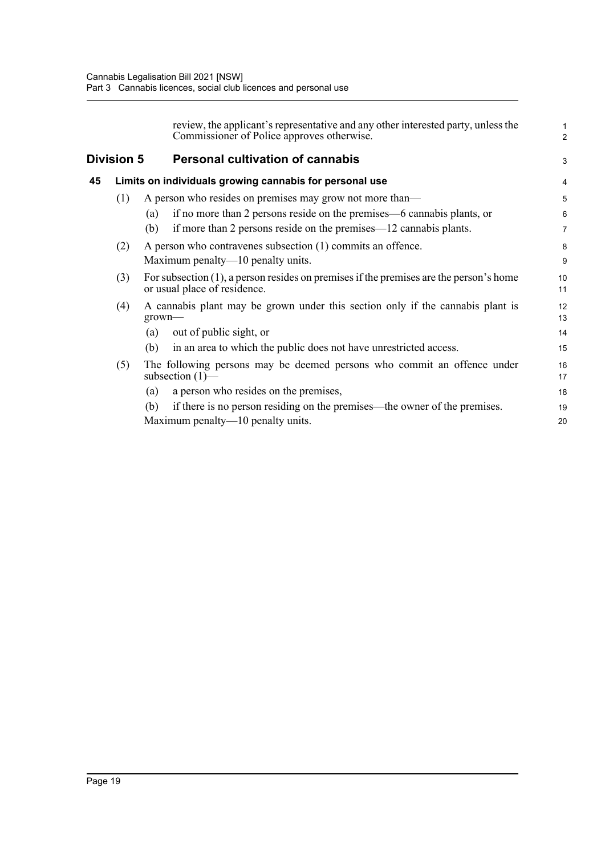<span id="page-25-1"></span><span id="page-25-0"></span>

|    |                   | review, the applicant's representative and any other interested party, unless the<br>Commissioner of Police approves otherwise. | 1<br>$\overline{a}$ |
|----|-------------------|---------------------------------------------------------------------------------------------------------------------------------|---------------------|
|    | <b>Division 5</b> | <b>Personal cultivation of cannabis</b>                                                                                         | 3                   |
| 45 |                   | Limits on individuals growing cannabis for personal use                                                                         | 4                   |
|    | (1)               | A person who resides on premises may grow not more than-                                                                        | 5                   |
|    |                   | if no more than 2 persons reside on the premises—6 cannabis plants, or<br>(a)                                                   | 6                   |
|    |                   | if more than 2 persons reside on the premises—12 cannabis plants.<br>(b)                                                        | 7                   |
|    | (2)               | A person who contravenes subsection (1) commits an offence.                                                                     | 8                   |
|    |                   | Maximum penalty—10 penalty units.                                                                                               | 9                   |
|    | (3)               | For subsection $(1)$ , a person resides on premises if the premises are the person's home<br>or usual place of residence.       | 10<br>11            |
|    | (4)               | A cannabis plant may be grown under this section only if the cannabis plant is<br>$grown$ —                                     | 12<br>13            |
|    |                   | out of public sight, or<br>(a)                                                                                                  | 14                  |
|    |                   | in an area to which the public does not have unrestricted access.<br>(b)                                                        | 15                  |
|    | (5)               | The following persons may be deemed persons who commit an offence under<br>subsection $(1)$ —                                   | 16<br>17            |
|    |                   | a person who resides on the premises,<br>(a)                                                                                    | 18                  |
|    |                   | if there is no person residing on the premises—the owner of the premises.<br>(b)                                                | 19                  |
|    |                   | Maximum penalty—10 penalty units.                                                                                               | 20                  |
|    |                   |                                                                                                                                 |                     |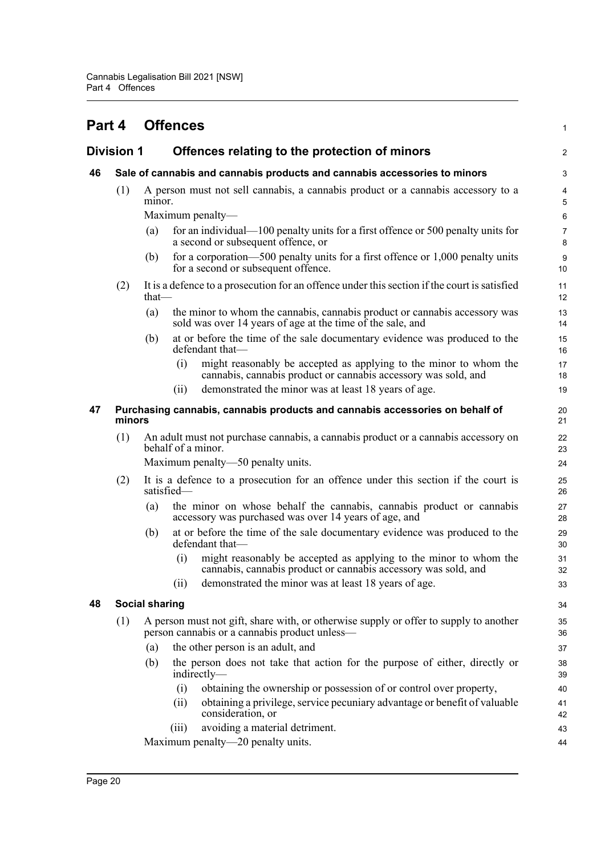<span id="page-26-4"></span><span id="page-26-3"></span><span id="page-26-2"></span><span id="page-26-1"></span><span id="page-26-0"></span>

| Part 4 |                                                                                        |                                                                                                          | <b>Offences</b> |                                                                                                                                          | 1              |  |  |
|--------|----------------------------------------------------------------------------------------|----------------------------------------------------------------------------------------------------------|-----------------|------------------------------------------------------------------------------------------------------------------------------------------|----------------|--|--|
|        | Division 1                                                                             |                                                                                                          |                 | Offences relating to the protection of minors                                                                                            | $\overline{c}$ |  |  |
| 46     |                                                                                        |                                                                                                          |                 | Sale of cannabis and cannabis products and cannabis accessories to minors                                                                | 3              |  |  |
|        | (1)                                                                                    | minor.                                                                                                   |                 | A person must not sell cannabis, a cannabis product or a cannabis accessory to a                                                         | 4<br>5         |  |  |
|        |                                                                                        |                                                                                                          |                 | Maximum penalty-                                                                                                                         | 6              |  |  |
|        |                                                                                        | (a)                                                                                                      |                 | for an individual—100 penalty units for a first offence or 500 penalty units for<br>a second or subsequent offence, or                   | 7<br>8         |  |  |
|        |                                                                                        | (b)                                                                                                      |                 | for a corporation-500 penalty units for a first offence or $1,000$ penalty units<br>for a second or subsequent offence.                  | 9<br>10        |  |  |
|        | (2)                                                                                    | $that$ —                                                                                                 |                 | It is a defence to a prosecution for an offence under this section if the court is satisfied                                             | 11<br>12       |  |  |
|        |                                                                                        | (a)                                                                                                      |                 | the minor to whom the cannabis, cannabis product or cannabis accessory was<br>sold was over 14 years of age at the time of the sale, and | 13<br>14       |  |  |
|        |                                                                                        | (b)                                                                                                      |                 | at or before the time of the sale documentary evidence was produced to the<br>defendant that-                                            | 15<br>16       |  |  |
|        |                                                                                        |                                                                                                          | (i)             | might reasonably be accepted as applying to the minor to whom the<br>cannabis, cannabis product or cannabis accessory was sold, and      | 17<br>18       |  |  |
|        |                                                                                        |                                                                                                          | (11)            | demonstrated the minor was at least 18 years of age.                                                                                     | 19             |  |  |
| 47     | Purchasing cannabis, cannabis products and cannabis accessories on behalf of<br>minors |                                                                                                          |                 |                                                                                                                                          |                |  |  |
|        | (1)                                                                                    | An adult must not purchase cannabis, a cannabis product or a cannabis accessory on<br>behalf of a minor. |                 |                                                                                                                                          |                |  |  |
|        |                                                                                        |                                                                                                          |                 | Maximum penalty—50 penalty units.                                                                                                        | 24             |  |  |
|        | (2)                                                                                    |                                                                                                          | satisfied-      | It is a defence to a prosecution for an offence under this section if the court is                                                       | 25<br>26       |  |  |
|        |                                                                                        | (a)                                                                                                      |                 | the minor on whose behalf the cannabis, cannabis product or cannabis<br>accessory was purchased was over 14 years of age, and            | 27<br>28       |  |  |
|        |                                                                                        | (b)                                                                                                      |                 | at or before the time of the sale documentary evidence was produced to the<br>defendant that-                                            | 29<br>30       |  |  |
|        |                                                                                        |                                                                                                          | (i)             | might reasonably be accepted as applying to the minor to whom the<br>cannabis, cannabis product or cannabis accessory was sold, and      | 31<br>32       |  |  |
|        |                                                                                        |                                                                                                          | (ii)            | demonstrated the minor was at least 18 years of age.                                                                                     | 33             |  |  |
| 48     |                                                                                        | <b>Social sharing</b>                                                                                    |                 |                                                                                                                                          | 34             |  |  |
|        | (1)                                                                                    |                                                                                                          |                 | A person must not gift, share with, or otherwise supply or offer to supply to another<br>person cannabis or a cannabis product unless-   | 35<br>36       |  |  |
|        |                                                                                        | (a)                                                                                                      |                 | the other person is an adult, and                                                                                                        | 37             |  |  |
|        |                                                                                        | (b)                                                                                                      |                 | the person does not take that action for the purpose of either, directly or<br>indirectly—                                               | 38<br>39       |  |  |
|        |                                                                                        |                                                                                                          | (i)             | obtaining the ownership or possession of or control over property,                                                                       | 40             |  |  |
|        |                                                                                        |                                                                                                          | (ii)            | obtaining a privilege, service pecuniary advantage or benefit of valuable<br>consideration, or                                           | 41<br>42       |  |  |
|        |                                                                                        |                                                                                                          | (iii)           | avoiding a material detriment.                                                                                                           | 43             |  |  |
|        |                                                                                        |                                                                                                          |                 | Maximum penalty—20 penalty units.                                                                                                        | 44             |  |  |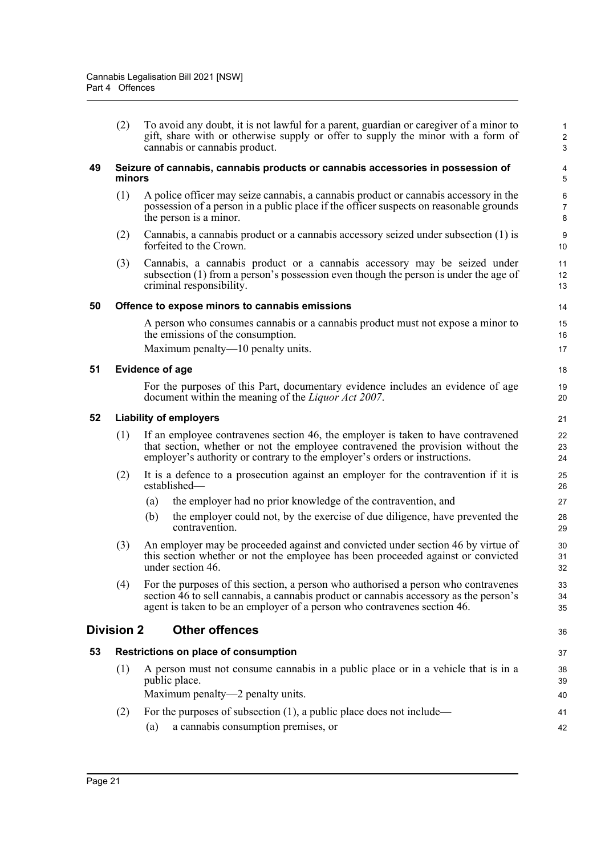(2) To avoid any doubt, it is not lawful for a parent, guardian or caregiver of a minor to gift, share with or otherwise supply or offer to supply the minor with a form of cannabis or cannabis product.

36

37

#### <span id="page-27-0"></span>**49 Seizure of cannabis, cannabis products or cannabis accessories in possession of minors**

- (1) A police officer may seize cannabis, a cannabis product or cannabis accessory in the possession of a person in a public place if the officer suspects on reasonable grounds the person is a minor.
- (2) Cannabis, a cannabis product or a cannabis accessory seized under subsection (1) is forfeited to the Crown.
- (3) Cannabis, a cannabis product or a cannabis accessory may be seized under subsection (1) from a person's possession even though the person is under the age of criminal responsibility.

#### <span id="page-27-1"></span>**50 Offence to expose minors to cannabis emissions**

A person who consumes cannabis or a cannabis product must not expose a minor to the emissions of the consumption.

Maximum penalty—10 penalty units.

#### <span id="page-27-2"></span>**51 Evidence of age**

For the purposes of this Part, documentary evidence includes an evidence of age document within the meaning of the *Liquor Act 2007*.

#### <span id="page-27-3"></span>**52 Liability of employers**

- (1) If an employee contravenes section 46, the employer is taken to have contravened that section, whether or not the employee contravened the provision without the employer's authority or contrary to the employer's orders or instructions.
- (2) It is a defence to a prosecution against an employer for the contravention if it is established—
	- (a) the employer had no prior knowledge of the contravention, and
	- (b) the employer could not, by the exercise of due diligence, have prevented the contravention.
- (3) An employer may be proceeded against and convicted under section 46 by virtue of this section whether or not the employee has been proceeded against or convicted under section 46.
- (4) For the purposes of this section, a person who authorised a person who contravenes section 46 to sell cannabis, a cannabis product or cannabis accessory as the person's agent is taken to be an employer of a person who contravenes section 46.

#### <span id="page-27-4"></span>**Division 2 Other offences**

### <span id="page-27-5"></span>**53 Restrictions on place of consumption**

- (1) A person must not consume cannabis in a public place or in a vehicle that is in a public place. Maximum penalty—2 penalty units. 38 39 40
- (2) For the purposes of subsection (1), a public place does not include— 41 42
	- (a) a cannabis consumption premises, or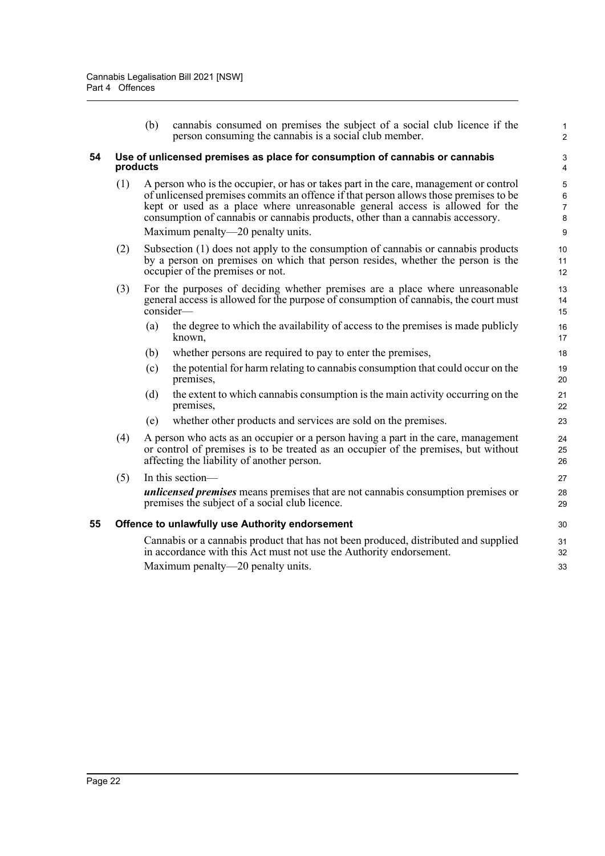<span id="page-28-1"></span><span id="page-28-0"></span>(b) cannabis consumed on premises the subject of a social club licence if the person consuming the cannabis is a social club member. **54 Use of unlicensed premises as place for consumption of cannabis or cannabis products** (1) A person who is the occupier, or has or takes part in the care, management or control of unlicensed premises commits an offence if that person allows those premises to be kept or used as a place where unreasonable general access is allowed for the consumption of cannabis or cannabis products, other than a cannabis accessory. Maximum penalty—20 penalty units. (2) Subsection (1) does not apply to the consumption of cannabis or cannabis products by a person on premises on which that person resides, whether the person is the occupier of the premises or not. (3) For the purposes of deciding whether premises are a place where unreasonable general access is allowed for the purpose of consumption of cannabis, the court must consider— (a) the degree to which the availability of access to the premises is made publicly known, (b) whether persons are required to pay to enter the premises, (c) the potential for harm relating to cannabis consumption that could occur on the premises, (d) the extent to which cannabis consumption is the main activity occurring on the premises, (e) whether other products and services are sold on the premises. (4) A person who acts as an occupier or a person having a part in the care, management or control of premises is to be treated as an occupier of the premises, but without affecting the liability of another person. (5) In this section *unlicensed premises* means premises that are not cannabis consumption premises or premises the subject of a social club licence. **55 Offence to unlawfully use Authority endorsement** Cannabis or a cannabis product that has not been produced, distributed and supplied in accordance with this Act must not use the Authority endorsement. Maximum penalty—20 penalty units. 1 2 3 4 5 6 7 8 9 10 11 12 13 14 15 16 17 18 19 20 21 22 23 24 25 26 27 28 29 30 31 32 33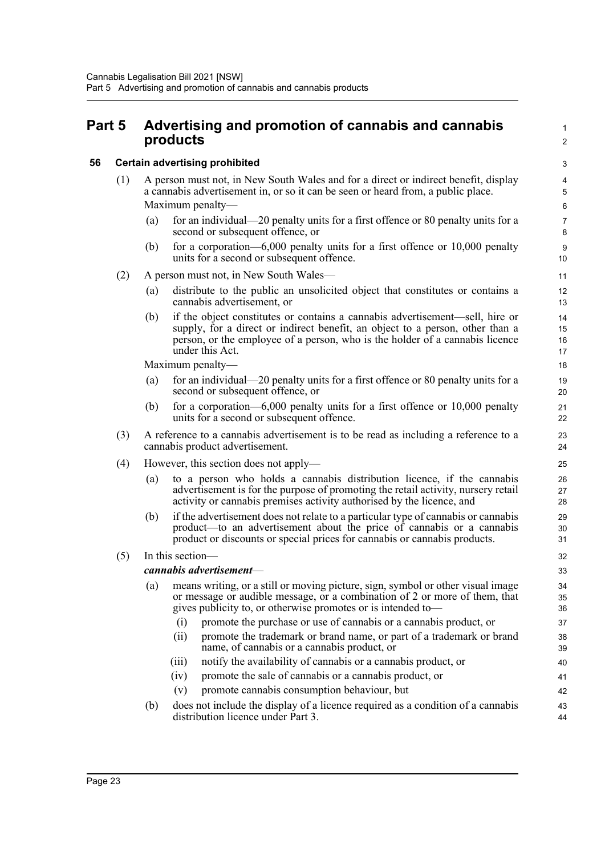### <span id="page-29-0"></span>**Part 5 Advertising and promotion of cannabis and cannabis products**

#### <span id="page-29-1"></span>**56 Certain advertising prohibited**

- (1) A person must not, in New South Wales and for a direct or indirect benefit, display a cannabis advertisement in, or so it can be seen or heard from, a public place. Maximum penalty—
	- (a) for an individual—20 penalty units for a first offence or 80 penalty units for a second or subsequent offence, or

1  $\overline{2}$ 

42 43 44

(b) for a corporation—6,000 penalty units for a first offence or 10,000 penalty units for a second or subsequent offence.

#### (2) A person must not, in New South Wales—

- (a) distribute to the public an unsolicited object that constitutes or contains a cannabis advertisement, or
- (b) if the object constitutes or contains a cannabis advertisement—sell, hire or supply, for a direct or indirect benefit, an object to a person, other than a person, or the employee of a person, who is the holder of a cannabis licence under this Act.

Maximum penalty—

- (a) for an individual—20 penalty units for a first offence or 80 penalty units for a second or subsequent offence, or
- (b) for a corporation—6,000 penalty units for a first offence or 10,000 penalty units for a second or subsequent offence.
- (3) A reference to a cannabis advertisement is to be read as including a reference to a cannabis product advertisement.
- (4) However, this section does not apply—
	- (a) to a person who holds a cannabis distribution licence, if the cannabis advertisement is for the purpose of promoting the retail activity, nursery retail activity or cannabis premises activity authorised by the licence, and
	- (b) if the advertisement does not relate to a particular type of cannabis or cannabis product—to an advertisement about the price of cannabis or a cannabis product or discounts or special prices for cannabis or cannabis products.

#### (5) In this section—

#### *cannabis advertisement*—

|     |       | cannabis advertisement—                                                                                                                                       | 33       |
|-----|-------|---------------------------------------------------------------------------------------------------------------------------------------------------------------|----------|
| (a) |       | means writing, or a still or moving picture, sign, symbol or other visual image<br>or message or audible message, or a combination of 2 or more of them, that | 34<br>35 |
|     |       | gives publicity to, or otherwise promotes or is intended to-                                                                                                  | 36       |
|     | (1)   | promote the purchase or use of cannabis or a cannabis product, or                                                                                             | 37       |
|     | (11)  | promote the trademark or brand name, or part of a trademark or brand<br>name, of cannabis or a cannabis product, or                                           | 38<br>39 |
|     | (111) | notify the availability of cannabis or a cannabis product, or                                                                                                 | 40       |
|     | (iv)  | promote the sale of cannabis or a cannabis product, or                                                                                                        | 41       |

- (iv) promote the sale of cannabis or a cannabis product, or (v) promote cannabis consumption behaviour, but
- (b) does not include the display of a licence required as a condition of a cannabis distribution licence under Part 3.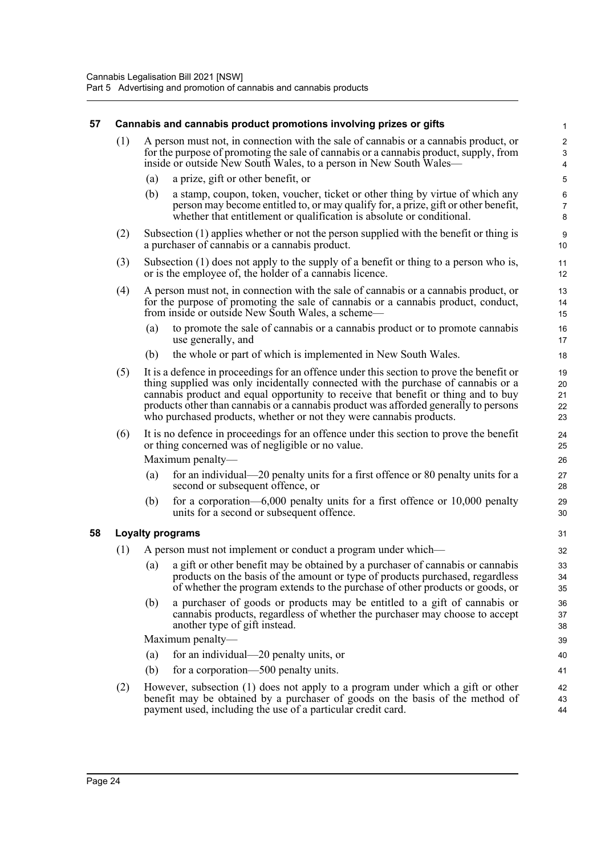#### <span id="page-30-1"></span><span id="page-30-0"></span>**57 Cannabis and cannabis product promotions involving prizes or gifts** (1) A person must not, in connection with the sale of cannabis or a cannabis product, or for the purpose of promoting the sale of cannabis or a cannabis product, supply, from inside or outside New South Wales, to a person in New South Wales– (a) a prize, gift or other benefit, or (b) a stamp, coupon, token, voucher, ticket or other thing by virtue of which any person may become entitled to, or may qualify for, a prize, gift or other benefit, whether that entitlement or qualification is absolute or conditional. (2) Subsection (1) applies whether or not the person supplied with the benefit or thing is a purchaser of cannabis or a cannabis product. (3) Subsection (1) does not apply to the supply of a benefit or thing to a person who is, or is the employee of, the holder of a cannabis licence. (4) A person must not, in connection with the sale of cannabis or a cannabis product, or for the purpose of promoting the sale of cannabis or a cannabis product, conduct, from inside or outside New South Wales, a scheme— (a) to promote the sale of cannabis or a cannabis product or to promote cannabis use generally, and (b) the whole or part of which is implemented in New South Wales. (5) It is a defence in proceedings for an offence under this section to prove the benefit or thing supplied was only incidentally connected with the purchase of cannabis or a cannabis product and equal opportunity to receive that benefit or thing and to buy products other than cannabis or a cannabis product was afforded generally to persons who purchased products, whether or not they were cannabis products. (6) It is no defence in proceedings for an offence under this section to prove the benefit or thing concerned was of negligible or no value. Maximum penalty— (a) for an individual—20 penalty units for a first offence or 80 penalty units for a second or subsequent offence, or (b) for a corporation—6,000 penalty units for a first offence or 10,000 penalty units for a second or subsequent offence. **58 Loyalty programs** (1) A person must not implement or conduct a program under which— (a) a gift or other benefit may be obtained by a purchaser of cannabis or cannabis products on the basis of the amount or type of products purchased, regardless of whether the program extends to the purchase of other products or goods, or (b) a purchaser of goods or products may be entitled to a gift of cannabis or cannabis products, regardless of whether the purchaser may choose to accept another type of gift instead. Maximum penalty— (a) for an individual—20 penalty units, or (b) for a corporation—500 penalty units. (2) However, subsection (1) does not apply to a program under which a gift or other benefit may be obtained by a purchaser of goods on the basis of the method of payment used, including the use of a particular credit card. 1 2 3 4 5 6 7 8 9 10 11 12 13 14 15 16 17 18 19 20 21 22 23  $24$ 25 26 27 28 29 30 31 32 33 34 35 36 37 38 39 40 41 42 43 44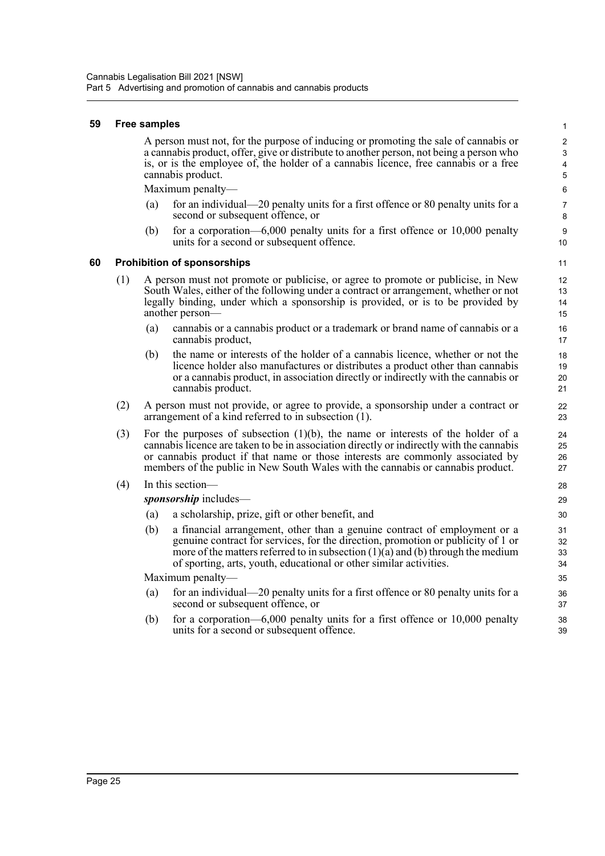#### <span id="page-31-0"></span>**59 Free samples**

A person must not, for the purpose of inducing or promoting the sale of cannabis or a cannabis product, offer, give or distribute to another person, not being a person who is, or is the employee of, the holder of a cannabis licence, free cannabis or a free cannabis product.

Maximum penalty—

- (a) for an individual—20 penalty units for a first offence or 80 penalty units for a second or subsequent offence, or
- (b) for a corporation—6,000 penalty units for a first offence or 10,000 penalty units for a second or subsequent offence.

#### <span id="page-31-1"></span>**60 Prohibition of sponsorships**

- (1) A person must not promote or publicise, or agree to promote or publicise, in New South Wales, either of the following under a contract or arrangement, whether or not legally binding, under which a sponsorship is provided, or is to be provided by another person—
	- (a) cannabis or a cannabis product or a trademark or brand name of cannabis or a cannabis product,
	- (b) the name or interests of the holder of a cannabis licence, whether or not the licence holder also manufactures or distributes a product other than cannabis or a cannabis product, in association directly or indirectly with the cannabis or cannabis product.
- (2) A person must not provide, or agree to provide, a sponsorship under a contract or arrangement of a kind referred to in subsection (1).
- (3) For the purposes of subsection (1)(b), the name or interests of the holder of a cannabis licence are taken to be in association directly or indirectly with the cannabis or cannabis product if that name or those interests are commonly associated by members of the public in New South Wales with the cannabis or cannabis product.
- (4) In this section—

*sponsorship* includes—

- (a) a scholarship, prize, gift or other benefit, and
- (b) a financial arrangement, other than a genuine contract of employment or a genuine contract for services, for the direction, promotion or publicity of 1 or more of the matters referred to in subsection  $(1)(a)$  and  $(b)$  through the medium of sporting, arts, youth, educational or other similar activities.

Maximum penalty—

- (a) for an individual—20 penalty units for a first offence or 80 penalty units for a second or subsequent offence, or
- (b) for a corporation—6,000 penalty units for a first offence or 10,000 penalty units for a second or subsequent offence.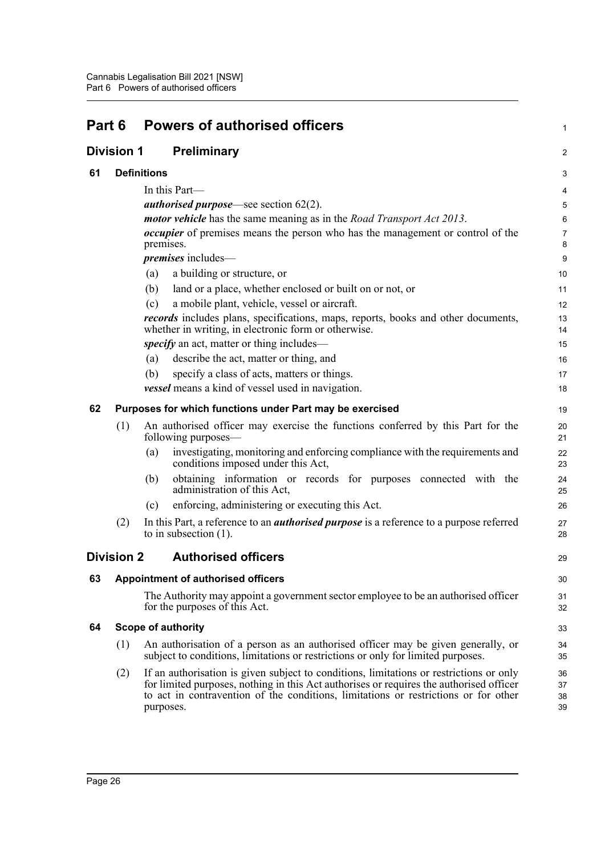<span id="page-32-6"></span><span id="page-32-5"></span><span id="page-32-4"></span><span id="page-32-3"></span><span id="page-32-2"></span><span id="page-32-1"></span><span id="page-32-0"></span>

| Part 6 |                   | <b>Powers of authorised officers</b>                                                                                                                                                                                                                                                   |                      |  |  |
|--------|-------------------|----------------------------------------------------------------------------------------------------------------------------------------------------------------------------------------------------------------------------------------------------------------------------------------|----------------------|--|--|
|        | Division 1        | Preliminary                                                                                                                                                                                                                                                                            | $\overline{a}$       |  |  |
| 61     |                   | <b>Definitions</b>                                                                                                                                                                                                                                                                     | 3                    |  |  |
|        |                   | In this Part-                                                                                                                                                                                                                                                                          | 4                    |  |  |
|        |                   | <i>authorised purpose</i> —see section $62(2)$ .                                                                                                                                                                                                                                       | 5                    |  |  |
|        |                   | <i>motor vehicle</i> has the same meaning as in the <i>Road Transport Act 2013</i> .                                                                                                                                                                                                   | 6                    |  |  |
|        |                   | <i>occupier</i> of premises means the person who has the management or control of the<br>premises.                                                                                                                                                                                     | 7<br>8               |  |  |
|        |                   | <i>premises</i> includes—                                                                                                                                                                                                                                                              | 9                    |  |  |
|        |                   | a building or structure, or<br>(a)                                                                                                                                                                                                                                                     | 10                   |  |  |
|        |                   | (b)<br>land or a place, whether enclosed or built on or not, or                                                                                                                                                                                                                        | 11                   |  |  |
|        |                   | a mobile plant, vehicle, vessel or aircraft.<br>(c)                                                                                                                                                                                                                                    | 12                   |  |  |
|        |                   | <i>records</i> includes plans, specifications, maps, reports, books and other documents,<br>whether in writing, in electronic form or otherwise.                                                                                                                                       | 13<br>14             |  |  |
|        |                   | <i>specify</i> an act, matter or thing includes—                                                                                                                                                                                                                                       | 15                   |  |  |
|        |                   | describe the act, matter or thing, and<br>(a)                                                                                                                                                                                                                                          | 16                   |  |  |
|        |                   | (b)<br>specify a class of acts, matters or things.                                                                                                                                                                                                                                     | 17                   |  |  |
|        |                   | vessel means a kind of vessel used in navigation.                                                                                                                                                                                                                                      | 18                   |  |  |
| 62     |                   | Purposes for which functions under Part may be exercised                                                                                                                                                                                                                               | 19                   |  |  |
|        | (1)               | An authorised officer may exercise the functions conferred by this Part for the<br>following purposes—                                                                                                                                                                                 | 20<br>21             |  |  |
|        |                   | investigating, monitoring and enforcing compliance with the requirements and<br>(a)<br>conditions imposed under this Act,                                                                                                                                                              | 22<br>23             |  |  |
|        |                   | obtaining information or records for purposes connected with the<br>(b)<br>administration of this Act,                                                                                                                                                                                 | 24<br>25             |  |  |
|        |                   | enforcing, administering or executing this Act.<br>(c)                                                                                                                                                                                                                                 | 26                   |  |  |
|        | (2)               | In this Part, a reference to an <i>authorised purpose</i> is a reference to a purpose referred<br>to in subsection $(1)$ .                                                                                                                                                             | 27<br>28             |  |  |
|        | <b>Division 2</b> | <b>Authorised officers</b>                                                                                                                                                                                                                                                             | 29                   |  |  |
| 63     |                   | <b>Appointment of authorised officers</b>                                                                                                                                                                                                                                              | 30                   |  |  |
|        |                   | The Authority may appoint a government sector employee to be an authorised officer<br>for the purposes of this Act.                                                                                                                                                                    | 31<br>32             |  |  |
| 64     |                   | <b>Scope of authority</b>                                                                                                                                                                                                                                                              | 33                   |  |  |
|        | (1)               | An authorisation of a person as an authorised officer may be given generally, or<br>subject to conditions, limitations or restrictions or only for limited purposes.                                                                                                                   | 34<br>35             |  |  |
|        | (2)               | If an authorisation is given subject to conditions, limitations or restrictions or only<br>for limited purposes, nothing in this Act authorises or requires the authorised officer<br>to act in contravention of the conditions, limitations or restrictions or for other<br>purposes. | 36<br>37<br>38<br>39 |  |  |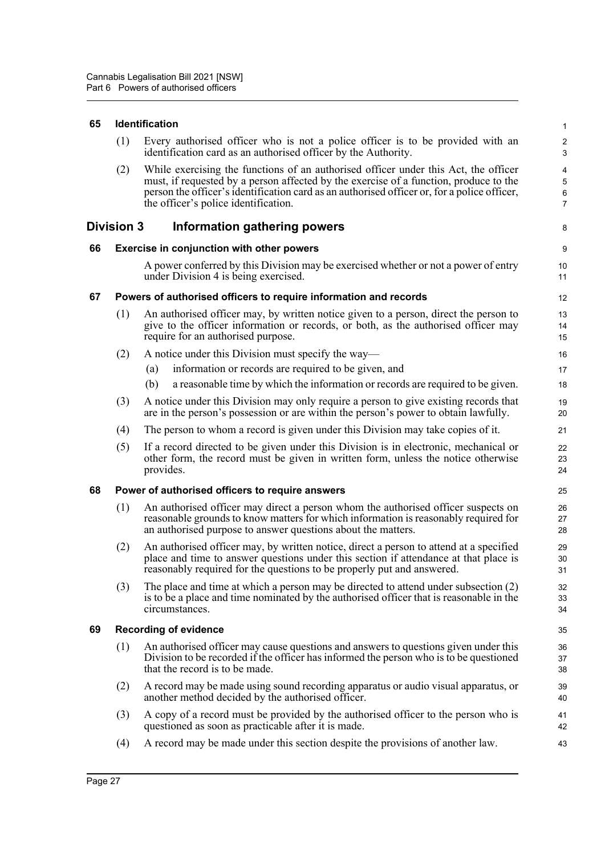#### <span id="page-33-0"></span>**65 Identification**

|     | (1) Every authorised officer who is not a police officer is to be provided with an<br>identification card as an authorised officer by the Authority. |
|-----|------------------------------------------------------------------------------------------------------------------------------------------------------|
| (2) | While exercising the functions of an authorised officer under this Act the officer                                                                   |

8

(2) While exercising the functions of an authorised officer under this Act, the officer must, if requested by a person affected by the exercise of a function, produce to the person the officer's identification card as an authorised officer or, for a police officer, the officer's police identification.

#### <span id="page-33-1"></span>**Division 3 Information gathering powers**

#### <span id="page-33-2"></span>**66 Exercise in conjunction with other powers**

A power conferred by this Division may be exercised whether or not a power of entry under Division 4 is being exercised.

#### <span id="page-33-3"></span>**67 Powers of authorised officers to require information and records**

- (1) An authorised officer may, by written notice given to a person, direct the person to give to the officer information or records, or both, as the authorised officer may require for an authorised purpose.
- (2) A notice under this Division must specify the way—
	- (a) information or records are required to be given, and
	- (b) a reasonable time by which the information or records are required to be given.
- (3) A notice under this Division may only require a person to give existing records that are in the person's possession or are within the person's power to obtain lawfully.
- (4) The person to whom a record is given under this Division may take copies of it.
- (5) If a record directed to be given under this Division is in electronic, mechanical or other form, the record must be given in written form, unless the notice otherwise provides.

#### <span id="page-33-4"></span>**68 Power of authorised officers to require answers**

- (1) An authorised officer may direct a person whom the authorised officer suspects on reasonable grounds to know matters for which information is reasonably required for an authorised purpose to answer questions about the matters.
- (2) An authorised officer may, by written notice, direct a person to attend at a specified place and time to answer questions under this section if attendance at that place is reasonably required for the questions to be properly put and answered.
- (3) The place and time at which a person may be directed to attend under subsection (2) is to be a place and time nominated by the authorised officer that is reasonable in the circumstances.

#### <span id="page-33-5"></span>**69 Recording of evidence**

- (1) An authorised officer may cause questions and answers to questions given under this Division to be recorded if the officer has informed the person who is to be questioned that the record is to be made.
- (2) A record may be made using sound recording apparatus or audio visual apparatus, or another method decided by the authorised officer.
- (3) A copy of a record must be provided by the authorised officer to the person who is questioned as soon as practicable after it is made.
- (4) A record may be made under this section despite the provisions of another law.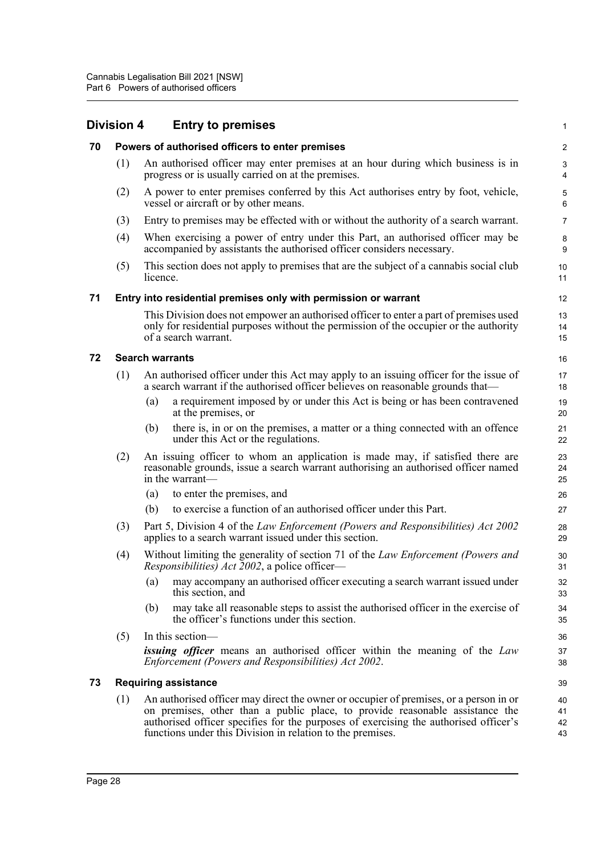<span id="page-34-4"></span><span id="page-34-3"></span><span id="page-34-2"></span><span id="page-34-1"></span><span id="page-34-0"></span>

|    | Division 4 | <b>Entry to premises</b>                                                                                                                                                                                                                                                                                                    | 1                       |
|----|------------|-----------------------------------------------------------------------------------------------------------------------------------------------------------------------------------------------------------------------------------------------------------------------------------------------------------------------------|-------------------------|
| 70 |            | Powers of authorised officers to enter premises                                                                                                                                                                                                                                                                             | $\overline{\mathbf{c}}$ |
|    | (1)        | An authorised officer may enter premises at an hour during which business is in<br>progress or is usually carried on at the premises.                                                                                                                                                                                       | 3<br>4                  |
|    | (2)        | A power to enter premises conferred by this Act authorises entry by foot, vehicle,<br>vessel or aircraft or by other means.                                                                                                                                                                                                 | 5<br>6                  |
|    | (3)        | Entry to premises may be effected with or without the authority of a search warrant.                                                                                                                                                                                                                                        | $\overline{7}$          |
|    | (4)        | When exercising a power of entry under this Part, an authorised officer may be<br>accompanied by assistants the authorised officer considers necessary.                                                                                                                                                                     | 8<br>9                  |
|    | (5)        | This section does not apply to premises that are the subject of a cannabis social club<br>licence.                                                                                                                                                                                                                          | 10<br>11                |
| 71 |            | Entry into residential premises only with permission or warrant                                                                                                                                                                                                                                                             | 12                      |
|    |            | This Division does not empower an authorised officer to enter a part of premises used<br>only for residential purposes without the permission of the occupier or the authority<br>of a search warrant.                                                                                                                      | 13<br>14<br>15          |
| 72 |            | <b>Search warrants</b>                                                                                                                                                                                                                                                                                                      | 16                      |
|    | (1)        | An authorised officer under this Act may apply to an issuing officer for the issue of<br>a search warrant if the authorised officer believes on reasonable grounds that—                                                                                                                                                    | 17<br>18                |
|    |            | a requirement imposed by or under this Act is being or has been contravened<br>(a)<br>at the premises, or                                                                                                                                                                                                                   | 19<br>20                |
|    |            | there is, in or on the premises, a matter or a thing connected with an offence<br>(b)<br>under this Act or the regulations.                                                                                                                                                                                                 | 21<br>22                |
|    | (2)        | An issuing officer to whom an application is made may, if satisfied there are<br>reasonable grounds, issue a search warrant authorising an authorised officer named<br>in the warrant-                                                                                                                                      | 23<br>24<br>25          |
|    |            | to enter the premises, and<br>(a)                                                                                                                                                                                                                                                                                           | 26                      |
|    |            | to exercise a function of an authorised officer under this Part.<br>(b)                                                                                                                                                                                                                                                     | 27                      |
|    | (3)        | Part 5, Division 4 of the Law Enforcement (Powers and Responsibilities) Act 2002<br>applies to a search warrant issued under this section.                                                                                                                                                                                  | 28<br>29                |
|    | (4)        | Without limiting the generality of section 71 of the Law Enforcement (Powers and<br><i>Responsibilities</i> ) <i>Act</i> 2002, a police officer—                                                                                                                                                                            | 30<br>31                |
|    |            | may accompany an authorised officer executing a search warrant issued under<br>(a)<br>this section, and                                                                                                                                                                                                                     | 32<br>33                |
|    |            | may take all reasonable steps to assist the authorised officer in the exercise of<br>(b)<br>the officer's functions under this section.                                                                                                                                                                                     | 34<br>35                |
|    | (5)        | In this section-                                                                                                                                                                                                                                                                                                            | 36                      |
|    |            | <i>issuing officer</i> means an authorised officer within the meaning of the Law<br>Enforcement (Powers and Responsibilities) Act 2002.                                                                                                                                                                                     | 37<br>38                |
| 73 |            | <b>Requiring assistance</b>                                                                                                                                                                                                                                                                                                 | 39                      |
|    | (1)        | An authorised officer may direct the owner or occupier of premises, or a person in or<br>on premises, other than a public place, to provide reasonable assistance the<br>authorised officer specifies for the purposes of exercising the authorised officer's<br>functions under this Division in relation to the premises. | 40<br>41<br>42<br>43    |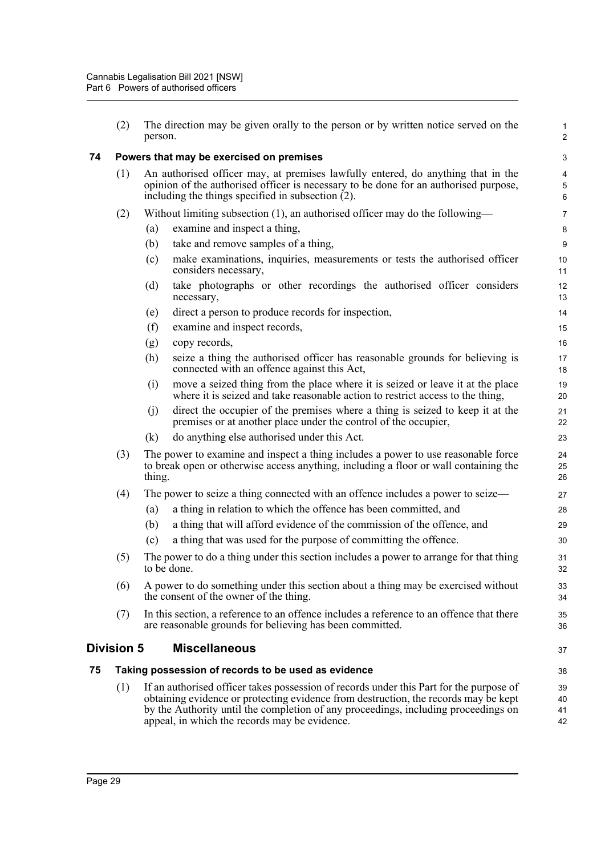<span id="page-35-2"></span><span id="page-35-1"></span><span id="page-35-0"></span>

|    | (2)        | The direction may be given orally to the person or by written notice served on the<br>person.                                                                                                                                                                                                                         | $\mathbf{1}$<br>$\overline{c}$ |  |  |
|----|------------|-----------------------------------------------------------------------------------------------------------------------------------------------------------------------------------------------------------------------------------------------------------------------------------------------------------------------|--------------------------------|--|--|
| 74 |            | Powers that may be exercised on premises                                                                                                                                                                                                                                                                              |                                |  |  |
|    | (1)        | An authorised officer may, at premises lawfully entered, do anything that in the<br>opinion of the authorised officer is necessary to be done for an authorised purpose,<br>including the things specified in subsection $(2)$ .                                                                                      |                                |  |  |
|    | (2)        | Without limiting subsection $(1)$ , an authorised officer may do the following—                                                                                                                                                                                                                                       | $\overline{7}$                 |  |  |
|    |            | examine and inspect a thing,<br>(a)                                                                                                                                                                                                                                                                                   | 8                              |  |  |
|    |            | (b)<br>take and remove samples of a thing,                                                                                                                                                                                                                                                                            | 9                              |  |  |
|    |            | make examinations, inquiries, measurements or tests the authorised officer<br>(c)<br>considers necessary,                                                                                                                                                                                                             | 10<br>11                       |  |  |
|    |            | take photographs or other recordings the authorised officer considers<br>(d)<br>necessary,                                                                                                                                                                                                                            | 12<br>13                       |  |  |
|    |            | direct a person to produce records for inspection,<br>(e)                                                                                                                                                                                                                                                             | 14                             |  |  |
|    |            | (f)<br>examine and inspect records,                                                                                                                                                                                                                                                                                   | 15                             |  |  |
|    |            | copy records,<br>(g)                                                                                                                                                                                                                                                                                                  | 16                             |  |  |
|    |            | (h)<br>seize a thing the authorised officer has reasonable grounds for believing is<br>connected with an offence against this Act,                                                                                                                                                                                    | 17<br>18                       |  |  |
|    |            | move a seized thing from the place where it is seized or leave it at the place<br>(i)<br>where it is seized and take reasonable action to restrict access to the thing,                                                                                                                                               | 19<br>20                       |  |  |
|    |            | direct the occupier of the premises where a thing is seized to keep it at the<br>(j)<br>premises or at another place under the control of the occupier,                                                                                                                                                               | 21<br>22                       |  |  |
|    |            | (k)<br>do anything else authorised under this Act.                                                                                                                                                                                                                                                                    | 23                             |  |  |
|    | (3)        | The power to examine and inspect a thing includes a power to use reasonable force<br>to break open or otherwise access anything, including a floor or wall containing the<br>thing.                                                                                                                                   |                                |  |  |
|    | (4)        | The power to seize a thing connected with an offence includes a power to seize—                                                                                                                                                                                                                                       | 27                             |  |  |
|    |            | a thing in relation to which the offence has been committed, and<br>(a)                                                                                                                                                                                                                                               | 28                             |  |  |
|    |            | a thing that will afford evidence of the commission of the offence, and<br>(b)                                                                                                                                                                                                                                        | 29                             |  |  |
|    |            | a thing that was used for the purpose of committing the offence.<br>(c)                                                                                                                                                                                                                                               | 30                             |  |  |
|    | (5)        | The power to do a thing under this section includes a power to arrange for that thing<br>to be done.                                                                                                                                                                                                                  |                                |  |  |
|    | (6)        | A power to do something under this section about a thing may be exercised without<br>the consent of the owner of the thing.                                                                                                                                                                                           |                                |  |  |
|    | (7)        | In this section, a reference to an offence includes a reference to an offence that there<br>are reasonable grounds for believing has been committed.                                                                                                                                                                  | 35<br>36                       |  |  |
|    | Division 5 | <b>Miscellaneous</b>                                                                                                                                                                                                                                                                                                  | 37                             |  |  |
| 75 |            | Taking possession of records to be used as evidence                                                                                                                                                                                                                                                                   | 38                             |  |  |
|    | (1)        | If an authorised officer takes possession of records under this Part for the purpose of<br>obtaining evidence or protecting evidence from destruction, the records may be kept<br>by the Authority until the completion of any proceedings, including proceedings on<br>appeal, in which the records may be evidence. | 39<br>40<br>41<br>42           |  |  |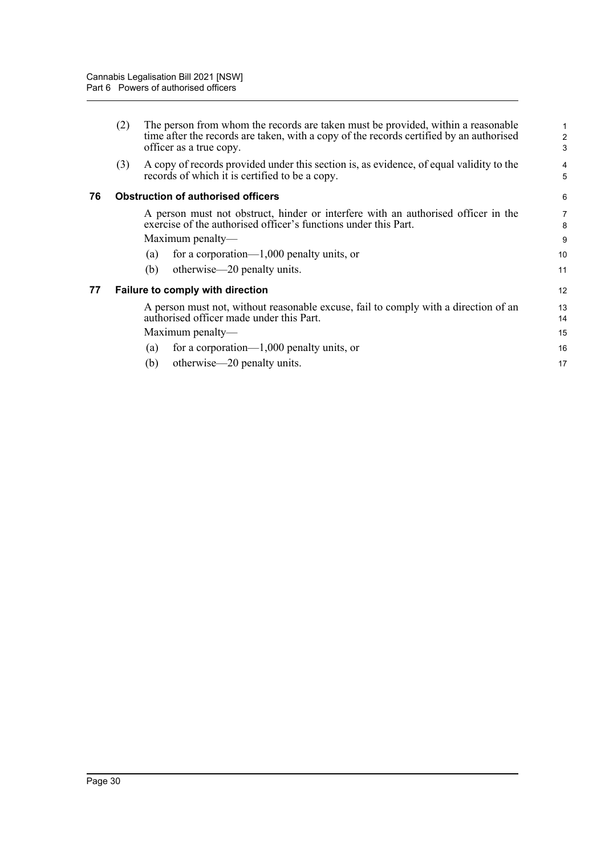<span id="page-36-1"></span><span id="page-36-0"></span>

|    | (2)                                       | The person from whom the records are taken must be provided, within a reasonable<br>time after the records are taken, with a copy of the records certified by an authorised<br>officer as a true copy. | $\overline{c}$<br>3 |  |
|----|-------------------------------------------|--------------------------------------------------------------------------------------------------------------------------------------------------------------------------------------------------------|---------------------|--|
|    | (3)                                       | A copy of records provided under this section is, as evidence, of equal validity to the<br>records of which it is certified to be a copy.                                                              | 4<br>5              |  |
| 76 | <b>Obstruction of authorised officers</b> |                                                                                                                                                                                                        |                     |  |
|    |                                           | A person must not obstruct, hinder or interfere with an authorised officer in the<br>exercise of the authorised officer's functions under this Part.                                                   | 7<br>8              |  |
|    |                                           | Maximum penalty—                                                                                                                                                                                       | 9                   |  |
|    |                                           | for a corporation— $1,000$ penalty units, or<br>$\left( a\right)$                                                                                                                                      | 10                  |  |
|    |                                           | otherwise—20 penalty units.<br>(b)                                                                                                                                                                     | 11                  |  |
| 77 |                                           | Failure to comply with direction                                                                                                                                                                       | 12                  |  |
|    |                                           | A person must not, without reasonable excuse, fail to comply with a direction of an<br>authorised officer made under this Part.                                                                        | 13<br>14            |  |
|    |                                           | Maximum penalty—                                                                                                                                                                                       | 15                  |  |
|    |                                           | for a corporation— $1,000$ penalty units, or<br>$\left( a\right)$                                                                                                                                      | 16                  |  |
|    |                                           | otherwise—20 penalty units.<br>(b)                                                                                                                                                                     | 17                  |  |
|    |                                           |                                                                                                                                                                                                        |                     |  |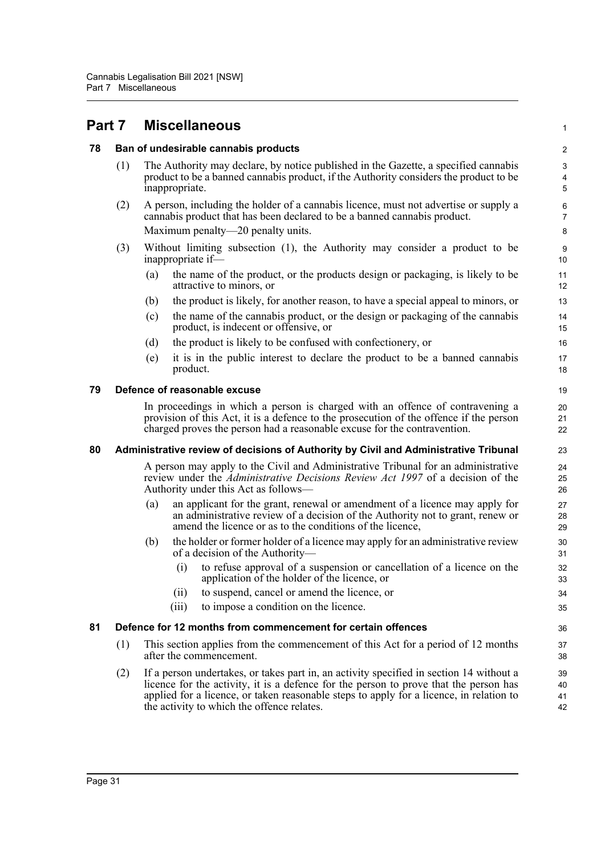<span id="page-37-4"></span><span id="page-37-3"></span><span id="page-37-2"></span><span id="page-37-1"></span><span id="page-37-0"></span>

| Part 7 |                                                                                      | <b>Miscellaneous</b>                                                                                                                                                                                                                                                                                                      | $\mathbf{1}$           |  |  |
|--------|--------------------------------------------------------------------------------------|---------------------------------------------------------------------------------------------------------------------------------------------------------------------------------------------------------------------------------------------------------------------------------------------------------------------------|------------------------|--|--|
| 78     |                                                                                      | Ban of undesirable cannabis products                                                                                                                                                                                                                                                                                      | $\overline{c}$         |  |  |
|        | (1)                                                                                  | The Authority may declare, by notice published in the Gazette, a specified cannabis<br>product to be a banned cannabis product, if the Authority considers the product to be<br>inappropriate.                                                                                                                            | $\mathbf{3}$<br>4<br>5 |  |  |
|        | (2)                                                                                  | A person, including the holder of a cannabis licence, must not advertise or supply a<br>cannabis product that has been declared to be a banned cannabis product.                                                                                                                                                          | 6<br>$\overline{7}$    |  |  |
|        |                                                                                      | Maximum penalty—20 penalty units.                                                                                                                                                                                                                                                                                         | 8                      |  |  |
|        | (3)                                                                                  | Without limiting subsection (1), the Authority may consider a product to be<br>inappropriate if-                                                                                                                                                                                                                          | 9<br>10                |  |  |
|        |                                                                                      | the name of the product, or the products design or packaging, is likely to be<br>(a)<br>attractive to minors, or                                                                                                                                                                                                          | 11<br>12               |  |  |
|        |                                                                                      | the product is likely, for another reason, to have a special appeal to minors, or<br>(b)                                                                                                                                                                                                                                  | 13                     |  |  |
|        |                                                                                      | the name of the cannabis product, or the design or packaging of the cannabis<br>(c)<br>product, is indecent or offensive, or                                                                                                                                                                                              | 14<br>15               |  |  |
|        |                                                                                      | the product is likely to be confused with confectionery, or<br>(d)                                                                                                                                                                                                                                                        | 16                     |  |  |
|        |                                                                                      | it is in the public interest to declare the product to be a banned cannabis<br>(e)<br>product.                                                                                                                                                                                                                            | 17<br>18               |  |  |
| 79     | Defence of reasonable excuse                                                         |                                                                                                                                                                                                                                                                                                                           |                        |  |  |
|        |                                                                                      | In proceedings in which a person is charged with an offence of contravening a<br>provision of this Act, it is a defence to the prosecution of the offence if the person<br>charged proves the person had a reasonable excuse for the contravention.                                                                       | 20<br>21<br>22         |  |  |
| 80     | Administrative review of decisions of Authority by Civil and Administrative Tribunal |                                                                                                                                                                                                                                                                                                                           |                        |  |  |
|        |                                                                                      | A person may apply to the Civil and Administrative Tribunal for an administrative<br>review under the <i>Administrative Decisions Review Act 1997</i> of a decision of the<br>Authority under this Act as follows—                                                                                                        |                        |  |  |
|        |                                                                                      | an applicant for the grant, renewal or amendment of a licence may apply for<br>(a)<br>an administrative review of a decision of the Authority not to grant, renew or<br>amend the licence or as to the conditions of the licence,                                                                                         | 27<br>28<br>29         |  |  |
|        |                                                                                      | the holder or former holder of a licence may apply for an administrative review<br>(b)<br>of a decision of the Authority-                                                                                                                                                                                                 | 30<br>31               |  |  |
|        |                                                                                      | to refuse approval of a suspension or cancellation of a licence on the<br>(i)<br>application of the holder of the licence, or                                                                                                                                                                                             | 32<br>33               |  |  |
|        |                                                                                      | to suspend, cancel or amend the licence, or<br>(ii)                                                                                                                                                                                                                                                                       | 34                     |  |  |
|        |                                                                                      | to impose a condition on the licence.<br>(iii)                                                                                                                                                                                                                                                                            | 35                     |  |  |
| 81     | Defence for 12 months from commencement for certain offences                         |                                                                                                                                                                                                                                                                                                                           |                        |  |  |
|        | (1)                                                                                  | This section applies from the commencement of this Act for a period of 12 months<br>after the commencement.                                                                                                                                                                                                               | 37<br>38               |  |  |
|        | (2)                                                                                  | If a person undertakes, or takes part in, an activity specified in section 14 without a<br>licence for the activity, it is a defence for the person to prove that the person has<br>applied for a licence, or taken reasonable steps to apply for a licence, in relation to<br>the activity to which the offence relates. | 39<br>40<br>41<br>42   |  |  |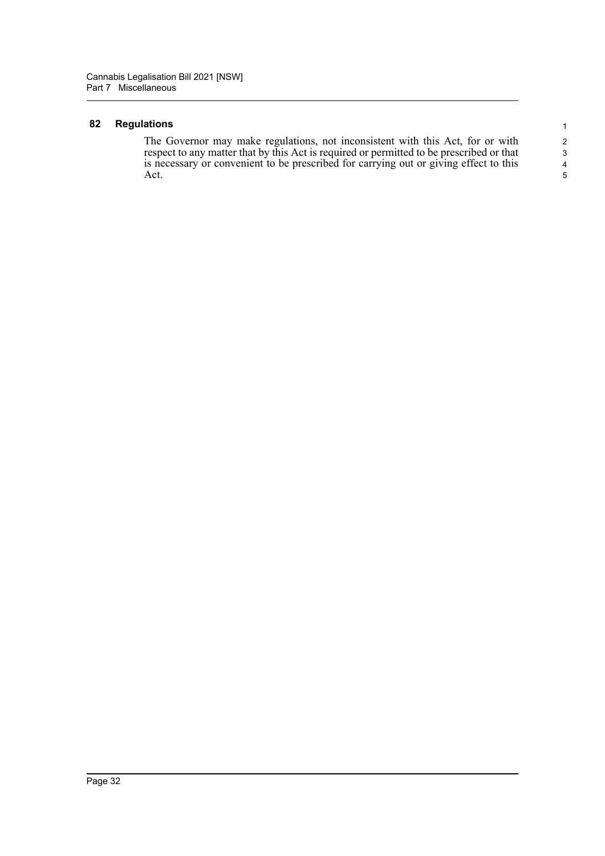#### <span id="page-38-0"></span>**82 Regulations**

The Governor may make regulations, not inconsistent with this Act, for or with respect to any matter that by this Act is required or permitted to be prescribed or that is necessary or convenient to be prescribed for carrying out or giving effect to this Act.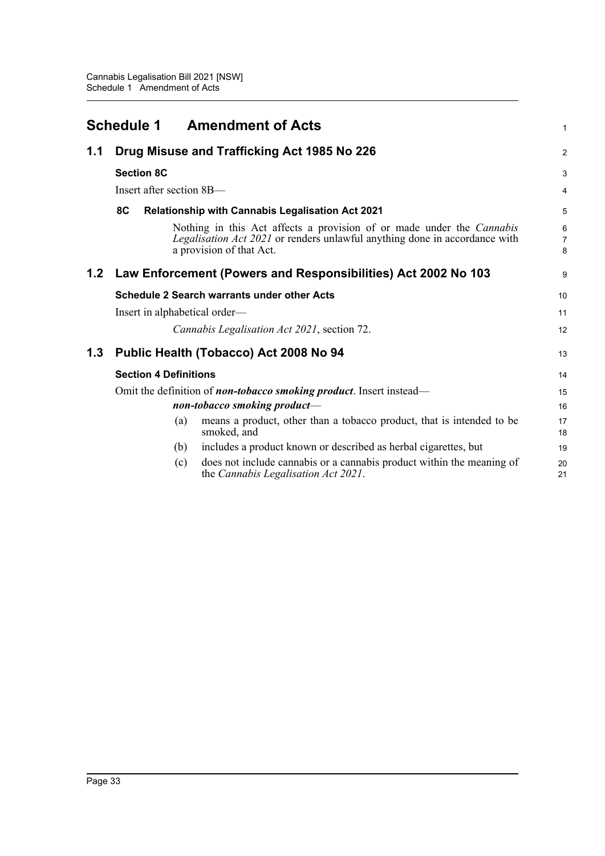<span id="page-39-0"></span>

|     |                                                                     |                              | <b>Schedule 1 Amendment of Acts</b>                                                                                                                                             | 1           |
|-----|---------------------------------------------------------------------|------------------------------|---------------------------------------------------------------------------------------------------------------------------------------------------------------------------------|-------------|
| 1.1 | Drug Misuse and Trafficking Act 1985 No 226                         |                              |                                                                                                                                                                                 |             |
|     |                                                                     | <b>Section 8C</b>            |                                                                                                                                                                                 | 3           |
|     |                                                                     | Insert after section 8B-     |                                                                                                                                                                                 | 4           |
|     | 8C                                                                  |                              | <b>Relationship with Cannabis Legalisation Act 2021</b>                                                                                                                         | 5           |
|     |                                                                     |                              | Nothing in this Act affects a provision of or made under the Cannabis<br>Legalisation Act 2021 or renders unlawful anything done in accordance with<br>a provision of that Act. | 6<br>7<br>8 |
| 1.2 |                                                                     |                              | Law Enforcement (Powers and Responsibilities) Act 2002 No 103                                                                                                                   | 9           |
|     |                                                                     |                              | <b>Schedule 2 Search warrants under other Acts</b>                                                                                                                              | 10          |
|     |                                                                     |                              | Insert in alphabetical order—                                                                                                                                                   | 11          |
|     |                                                                     |                              | Cannabis Legalisation Act 2021, section 72.                                                                                                                                     | 12          |
| 1.3 |                                                                     |                              | Public Health (Tobacco) Act 2008 No 94                                                                                                                                          | 13          |
|     |                                                                     | <b>Section 4 Definitions</b> |                                                                                                                                                                                 | 14          |
|     | Omit the definition of non-tobacco smoking product. Insert instead- |                              |                                                                                                                                                                                 | 15          |
|     |                                                                     |                              | non-tobacco smoking product-                                                                                                                                                    | 16          |
|     |                                                                     | (a)                          | means a product, other than a tobacco product, that is intended to be<br>smoked, and                                                                                            | 17<br>18    |
|     |                                                                     | (b)                          | includes a product known or described as herbal cigarettes, but                                                                                                                 | 19          |
|     |                                                                     | (c)                          | does not include cannabis or a cannabis product within the meaning of<br>the Cannabis Legalisation Act 2021.                                                                    | 20<br>21    |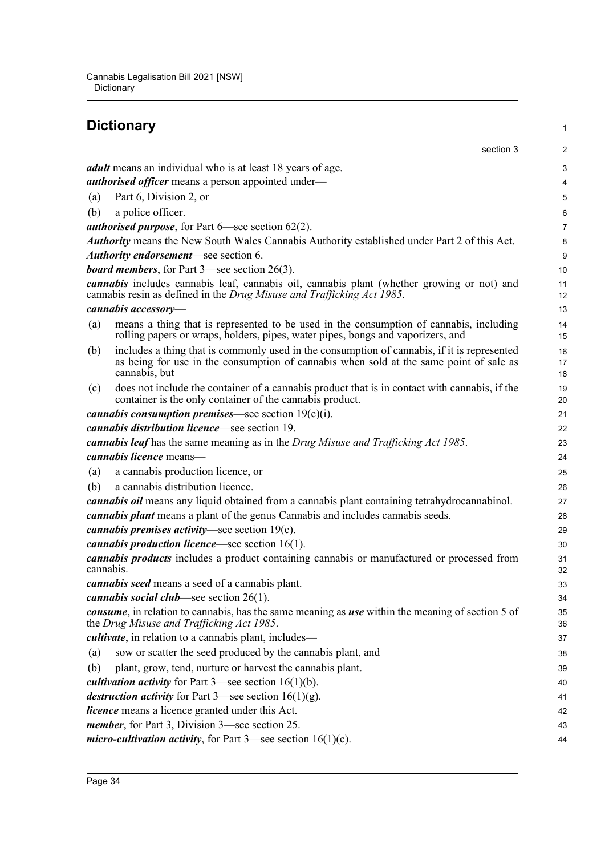## <span id="page-40-0"></span>**Dictionary**

|           | section 3                                                                                                                                                                                              | $\overline{\mathbf{c}}$ |
|-----------|--------------------------------------------------------------------------------------------------------------------------------------------------------------------------------------------------------|-------------------------|
|           | <i>adult</i> means an individual who is at least 18 years of age.                                                                                                                                      | 3                       |
|           | <i>authorised officer</i> means a person appointed under-                                                                                                                                              | 4                       |
| (a)       | Part 6, Division 2, or                                                                                                                                                                                 | 5                       |
| (b)       | a police officer.                                                                                                                                                                                      | 6                       |
|           | <i>authorised purpose</i> , for Part $6$ —see section $62(2)$ .                                                                                                                                        | 7                       |
|           | Authority means the New South Wales Cannabis Authority established under Part 2 of this Act.                                                                                                           | 8                       |
|           | Authority endorsement—see section 6.                                                                                                                                                                   | 9                       |
|           | <b>board members</b> , for Part $3$ —see section $26(3)$ .                                                                                                                                             | 10                      |
|           | <i>cannabis</i> includes cannabis leaf, cannabis oil, cannabis plant (whether growing or not) and<br>cannabis resin as defined in the Drug Misuse and Trafficking Act 1985.                            | 11<br>12                |
|           | cannabis accessory-                                                                                                                                                                                    | 13                      |
| (a)       | means a thing that is represented to be used in the consumption of cannabis, including<br>rolling papers or wraps, holders, pipes, water pipes, bongs and vaporizers, and                              | 14<br>15                |
| (b)       | includes a thing that is commonly used in the consumption of cannabis, if it is represented<br>as being for use in the consumption of cannabis when sold at the same point of sale as<br>cannabis, but | 16<br>17<br>18          |
| (c)       | does not include the container of a cannabis product that is in contact with cannabis, if the<br>container is the only container of the cannabis product.                                              | 19<br>20                |
|           | <i>cannabis consumption premises</i> —see section $19(c)(i)$ .                                                                                                                                         | 21                      |
|           | <i>cannabis distribution licence</i> —see section 19.                                                                                                                                                  | 22                      |
|           | cannabis leaf has the same meaning as in the Drug Misuse and Trafficking Act 1985.                                                                                                                     | 23                      |
|           | cannabis licence means-                                                                                                                                                                                | 24                      |
| (a)       | a cannabis production licence, or                                                                                                                                                                      | 25                      |
| (b)       | a cannabis distribution licence.                                                                                                                                                                       | 26                      |
|           | cannabis oil means any liquid obtained from a cannabis plant containing tetrahydrocannabinol.                                                                                                          | 27                      |
|           | <i>cannabis plant</i> means a plant of the genus Cannabis and includes cannabis seeds.                                                                                                                 | 28                      |
|           | <i>cannabis premises activity</i> —see section $19(c)$ .                                                                                                                                               | 29                      |
|           | <i>cannabis production licence</i> —see section $16(1)$ .                                                                                                                                              | 30                      |
| cannabis. | <i>cannabis products</i> includes a product containing cannabis or manufactured or processed from                                                                                                      | 31<br>32                |
|           | <i>cannabis seed</i> means a seed of a cannabis plant.                                                                                                                                                 | 33                      |
|           | <i>cannabis social club</i> —see section $26(1)$ .                                                                                                                                                     | 34                      |
|           | consume, in relation to cannabis, has the same meaning as use within the meaning of section 5 of<br>the Drug Misuse and Trafficking Act 1985.                                                          | 35<br>36                |
|           | <i>cultivate</i> , in relation to a cannabis plant, includes—                                                                                                                                          | 37                      |
| (a)       | sow or scatter the seed produced by the cannabis plant, and                                                                                                                                            | 38                      |
| (b)       | plant, grow, tend, nurture or harvest the cannabis plant.                                                                                                                                              | 39                      |
|           | <i>cultivation activity</i> for Part $3$ —see section $16(1)(b)$ .                                                                                                                                     | 40                      |
|           | <i>destruction activity</i> for Part 3—see section $16(1)(g)$ .                                                                                                                                        | 41                      |
|           | <i>licence</i> means a licence granted under this Act.                                                                                                                                                 | 42                      |
|           | <i>member</i> , for Part 3, Division 3—see section 25.                                                                                                                                                 | 43                      |
|           | <i>micro-cultivation activity</i> , for Part $3$ —see section $16(1)(c)$ .                                                                                                                             | 44                      |

1